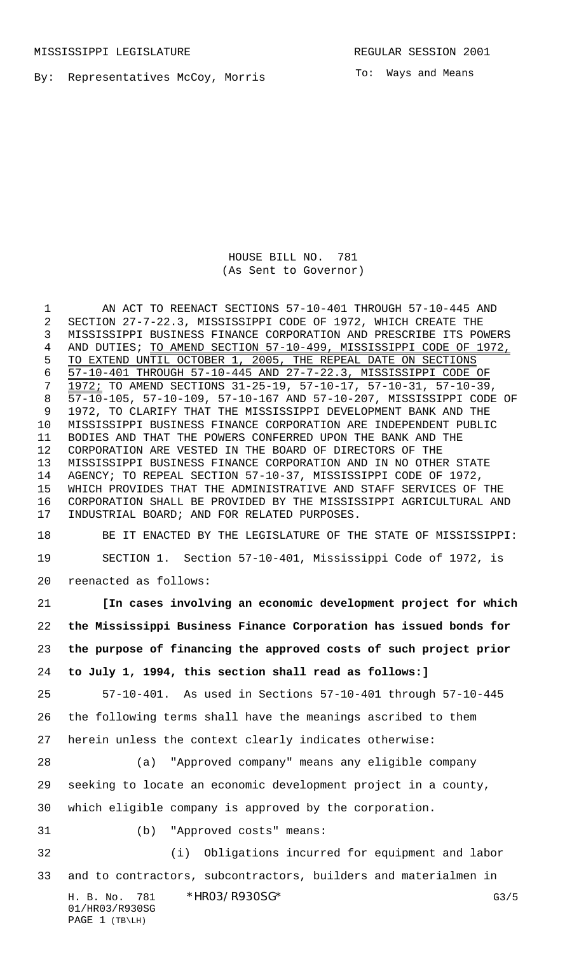By: Representatives McCoy, Morris

To: Ways and Means

HOUSE BILL NO. 781 (As Sent to Governor)

 AN ACT TO REENACT SECTIONS 57-10-401 THROUGH 57-10-445 AND SECTION 27-7-22.3, MISSISSIPPI CODE OF 1972, WHICH CREATE THE MISSISSIPPI BUSINESS FINANCE CORPORATION AND PRESCRIBE ITS POWERS AND DUTIES; TO AMEND SECTION 57-10-499, MISSISSIPPI CODE OF 1972, 5 TO EXTEND UNTIL OCTOBER 1, 2005, THE REPEAL DATE ON SECTIONS 57-10-401 THROUGH 57-10-445 AND 27-7-22.3, MISSISSIPPI CODE OF 1972; TO AMEND SECTIONS 31-25-19, 57-10-17, 57-10-31, 57-10-39, 57-10-105, 57-10-109, 57-10-167 AND 57-10-207, MISSISSIPPI CODE OF 1972, TO CLARIFY THAT THE MISSISSIPPI DEVELOPMENT BANK AND THE MISSISSIPPI BUSINESS FINANCE CORPORATION ARE INDEPENDENT PUBLIC BODIES AND THAT THE POWERS CONFERRED UPON THE BANK AND THE CORPORATION ARE VESTED IN THE BOARD OF DIRECTORS OF THE MISSISSIPPI BUSINESS FINANCE CORPORATION AND IN NO OTHER STATE AGENCY; TO REPEAL SECTION 57-10-37, MISSISSIPPI CODE OF 1972, WHICH PROVIDES THAT THE ADMINISTRATIVE AND STAFF SERVICES OF THE CORPORATION SHALL BE PROVIDED BY THE MISSISSIPPI AGRICULTURAL AND INDUSTRIAL BOARD; AND FOR RELATED PURPOSES.

 BE IT ENACTED BY THE LEGISLATURE OF THE STATE OF MISSISSIPPI: SECTION 1. Section 57-10-401, Mississippi Code of 1972, is

reenacted as follows:

 **[In cases involving an economic development project for which the Mississippi Business Finance Corporation has issued bonds for the purpose of financing the approved costs of such project prior to July 1, 1994, this section shall read as follows:]**

 57-10-401. As used in Sections 57-10-401 through 57-10-445 the following terms shall have the meanings ascribed to them herein unless the context clearly indicates otherwise:

 (a) "Approved company" means any eligible company seeking to locate an economic development project in a county, which eligible company is approved by the corporation.

- 
- (b) "Approved costs" means:
- (i) Obligations incurred for equipment and labor and to contractors, subcontractors, builders and materialmen in

H. B. No. 781 \* HRO3/R930SG\* G3/5 01/HR03/R930SG PAGE 1 (TB\LH)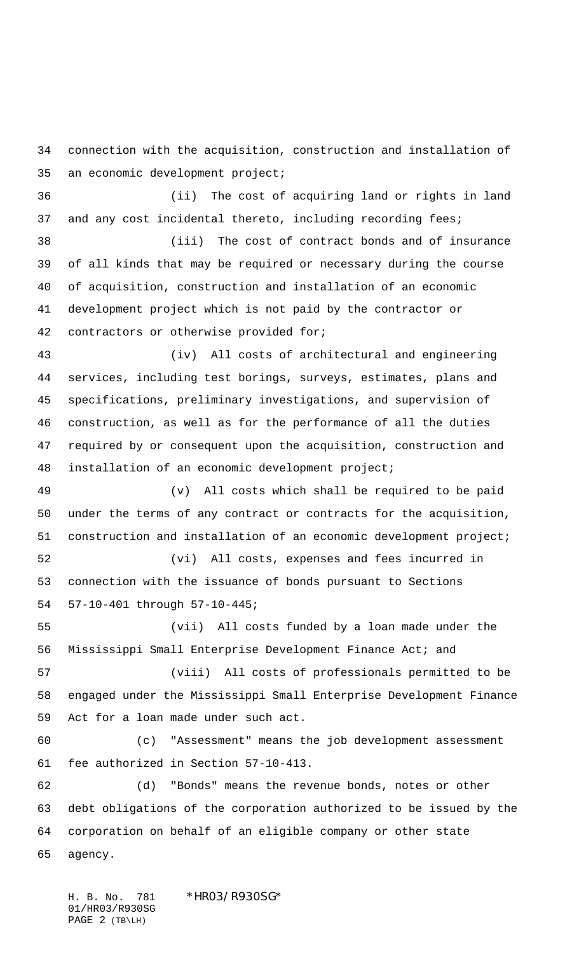connection with the acquisition, construction and installation of an economic development project;

 (ii) The cost of acquiring land or rights in land 37 and any cost incidental thereto, including recording fees;

 (iii) The cost of contract bonds and of insurance of all kinds that may be required or necessary during the course of acquisition, construction and installation of an economic development project which is not paid by the contractor or contractors or otherwise provided for;

 (iv) All costs of architectural and engineering services, including test borings, surveys, estimates, plans and specifications, preliminary investigations, and supervision of construction, as well as for the performance of all the duties required by or consequent upon the acquisition, construction and installation of an economic development project;

 (v) All costs which shall be required to be paid under the terms of any contract or contracts for the acquisition, construction and installation of an economic development project;

 (vi) All costs, expenses and fees incurred in connection with the issuance of bonds pursuant to Sections 57-10-401 through 57-10-445;

 (vii) All costs funded by a loan made under the Mississippi Small Enterprise Development Finance Act; and

 (viii) All costs of professionals permitted to be engaged under the Mississippi Small Enterprise Development Finance Act for a loan made under such act.

 (c) "Assessment" means the job development assessment fee authorized in Section 57-10-413.

 (d) "Bonds" means the revenue bonds, notes or other debt obligations of the corporation authorized to be issued by the corporation on behalf of an eligible company or other state agency.

H. B. No. 781 \*HR03/R930SG\* 01/HR03/R930SG PAGE 2 (TB\LH)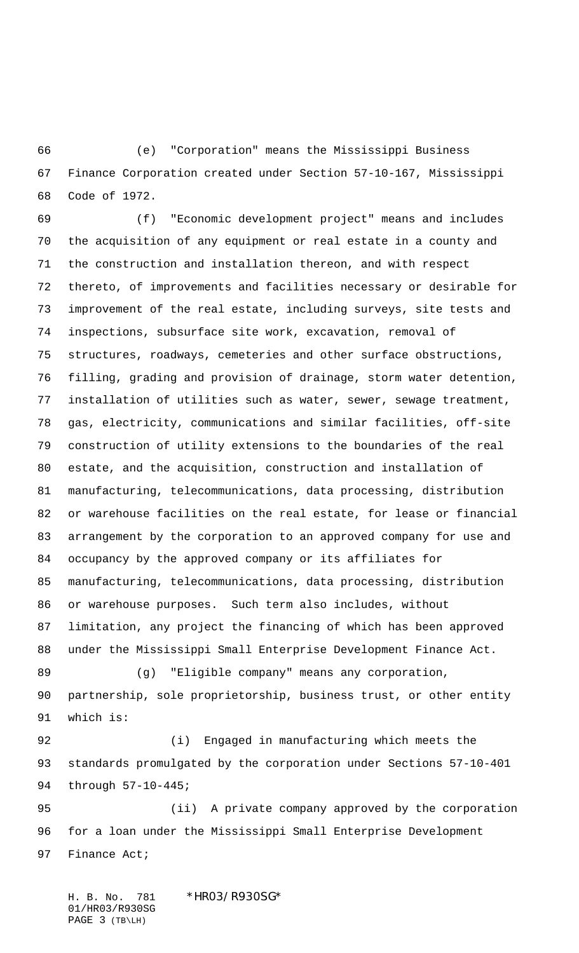(e) "Corporation" means the Mississippi Business Finance Corporation created under Section 57-10-167, Mississippi Code of 1972.

 (f) "Economic development project" means and includes the acquisition of any equipment or real estate in a county and the construction and installation thereon, and with respect thereto, of improvements and facilities necessary or desirable for improvement of the real estate, including surveys, site tests and inspections, subsurface site work, excavation, removal of structures, roadways, cemeteries and other surface obstructions, filling, grading and provision of drainage, storm water detention, installation of utilities such as water, sewer, sewage treatment, gas, electricity, communications and similar facilities, off-site construction of utility extensions to the boundaries of the real estate, and the acquisition, construction and installation of manufacturing, telecommunications, data processing, distribution or warehouse facilities on the real estate, for lease or financial arrangement by the corporation to an approved company for use and occupancy by the approved company or its affiliates for manufacturing, telecommunications, data processing, distribution or warehouse purposes. Such term also includes, without limitation, any project the financing of which has been approved under the Mississippi Small Enterprise Development Finance Act. (g) "Eligible company" means any corporation, partnership, sole proprietorship, business trust, or other entity which is: (i) Engaged in manufacturing which meets the

 standards promulgated by the corporation under Sections 57-10-401 through 57-10-445;

 (ii) A private company approved by the corporation for a loan under the Mississippi Small Enterprise Development Finance Act;

H. B. No. 781 \*HR03/R930SG\* 01/HR03/R930SG PAGE 3 (TB\LH)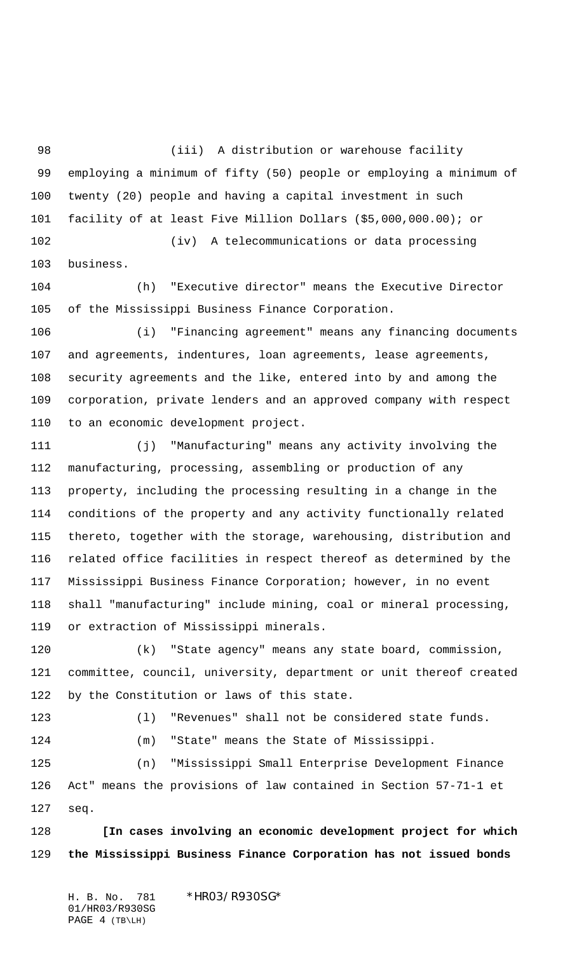(iii) A distribution or warehouse facility employing a minimum of fifty (50) people or employing a minimum of twenty (20) people and having a capital investment in such facility of at least Five Million Dollars (\$5,000,000.00); or (iv) A telecommunications or data processing

business.

 (h) "Executive director" means the Executive Director of the Mississippi Business Finance Corporation.

 (i) "Financing agreement" means any financing documents and agreements, indentures, loan agreements, lease agreements, security agreements and the like, entered into by and among the corporation, private lenders and an approved company with respect to an economic development project.

 (j) "Manufacturing" means any activity involving the manufacturing, processing, assembling or production of any property, including the processing resulting in a change in the conditions of the property and any activity functionally related thereto, together with the storage, warehousing, distribution and related office facilities in respect thereof as determined by the Mississippi Business Finance Corporation; however, in no event shall "manufacturing" include mining, coal or mineral processing, or extraction of Mississippi minerals.

 (k) "State agency" means any state board, commission, committee, council, university, department or unit thereof created by the Constitution or laws of this state.

(l) "Revenues" shall not be considered state funds.

(m) "State" means the State of Mississippi.

 (n) "Mississippi Small Enterprise Development Finance Act" means the provisions of law contained in Section 57-71-1 et seq.

 **[In cases involving an economic development project for which the Mississippi Business Finance Corporation has not issued bonds**

H. B. No. 781 \*HR03/R930SG\* 01/HR03/R930SG PAGE 4 (TB\LH)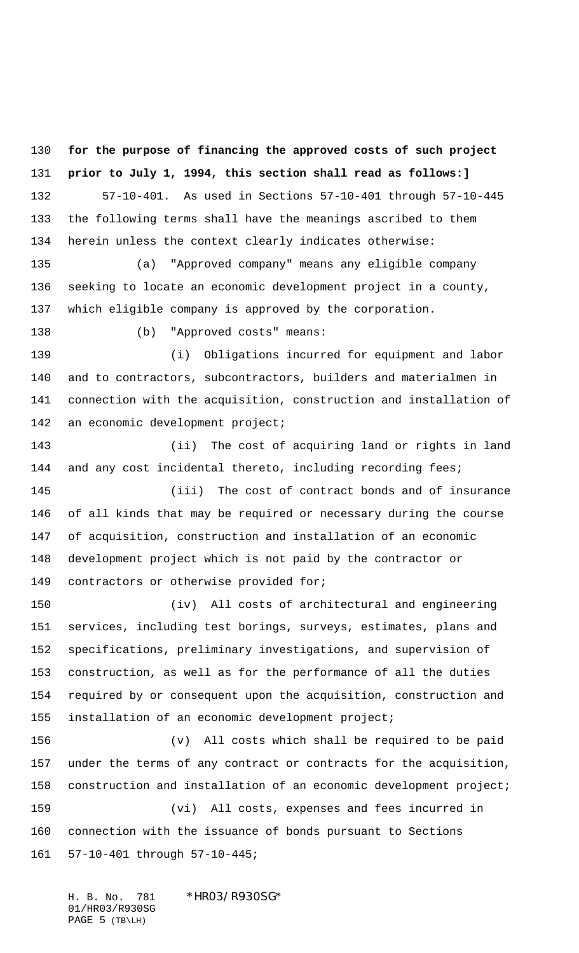**for the purpose of financing the approved costs of such project prior to July 1, 1994, this section shall read as follows:]** 57-10-401. As used in Sections 57-10-401 through 57-10-445 the following terms shall have the meanings ascribed to them herein unless the context clearly indicates otherwise:

 (a) "Approved company" means any eligible company seeking to locate an economic development project in a county, which eligible company is approved by the corporation.

138 (b) "Approved costs" means:

 (i) Obligations incurred for equipment and labor and to contractors, subcontractors, builders and materialmen in connection with the acquisition, construction and installation of 142 an economic development project;

 (ii) The cost of acquiring land or rights in land 144 and any cost incidental thereto, including recording fees; (iii) The cost of contract bonds and of insurance of all kinds that may be required or necessary during the course of acquisition, construction and installation of an economic development project which is not paid by the contractor or contractors or otherwise provided for;

 (iv) All costs of architectural and engineering services, including test borings, surveys, estimates, plans and specifications, preliminary investigations, and supervision of construction, as well as for the performance of all the duties required by or consequent upon the acquisition, construction and installation of an economic development project;

 (v) All costs which shall be required to be paid under the terms of any contract or contracts for the acquisition, construction and installation of an economic development project; (vi) All costs, expenses and fees incurred in connection with the issuance of bonds pursuant to Sections 57-10-401 through 57-10-445;

H. B. No. 781 \*HR03/R930SG\* 01/HR03/R930SG PAGE 5 (TB\LH)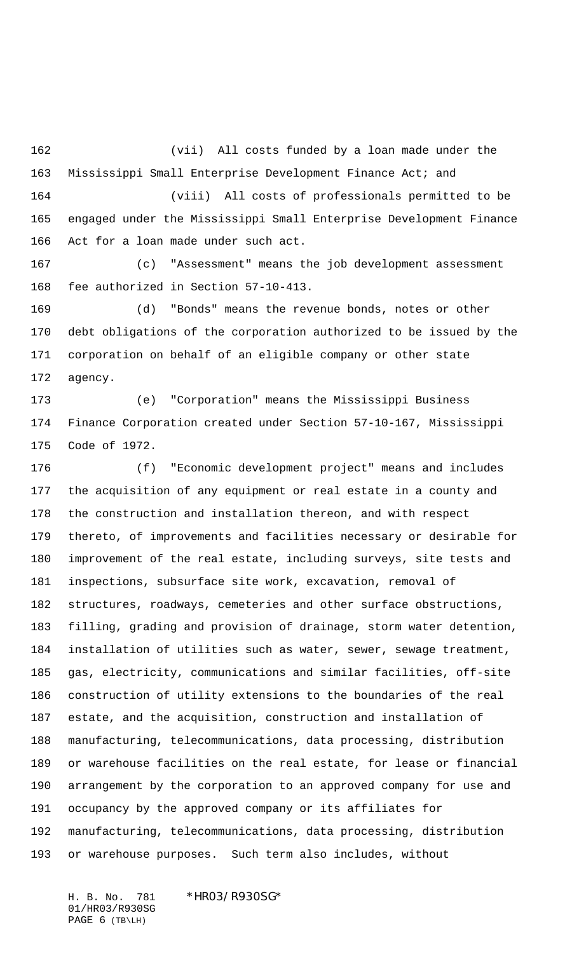(vii) All costs funded by a loan made under the Mississippi Small Enterprise Development Finance Act; and (viii) All costs of professionals permitted to be engaged under the Mississippi Small Enterprise Development Finance Act for a loan made under such act.

 (c) "Assessment" means the job development assessment fee authorized in Section 57-10-413.

 (d) "Bonds" means the revenue bonds, notes or other debt obligations of the corporation authorized to be issued by the corporation on behalf of an eligible company or other state agency.

 (e) "Corporation" means the Mississippi Business Finance Corporation created under Section 57-10-167, Mississippi Code of 1972.

 (f) "Economic development project" means and includes the acquisition of any equipment or real estate in a county and the construction and installation thereon, and with respect thereto, of improvements and facilities necessary or desirable for improvement of the real estate, including surveys, site tests and inspections, subsurface site work, excavation, removal of structures, roadways, cemeteries and other surface obstructions, filling, grading and provision of drainage, storm water detention, installation of utilities such as water, sewer, sewage treatment, gas, electricity, communications and similar facilities, off-site construction of utility extensions to the boundaries of the real estate, and the acquisition, construction and installation of manufacturing, telecommunications, data processing, distribution or warehouse facilities on the real estate, for lease or financial arrangement by the corporation to an approved company for use and occupancy by the approved company or its affiliates for manufacturing, telecommunications, data processing, distribution or warehouse purposes. Such term also includes, without

H. B. No. 781 \*HR03/R930SG\* 01/HR03/R930SG PAGE 6 (TB\LH)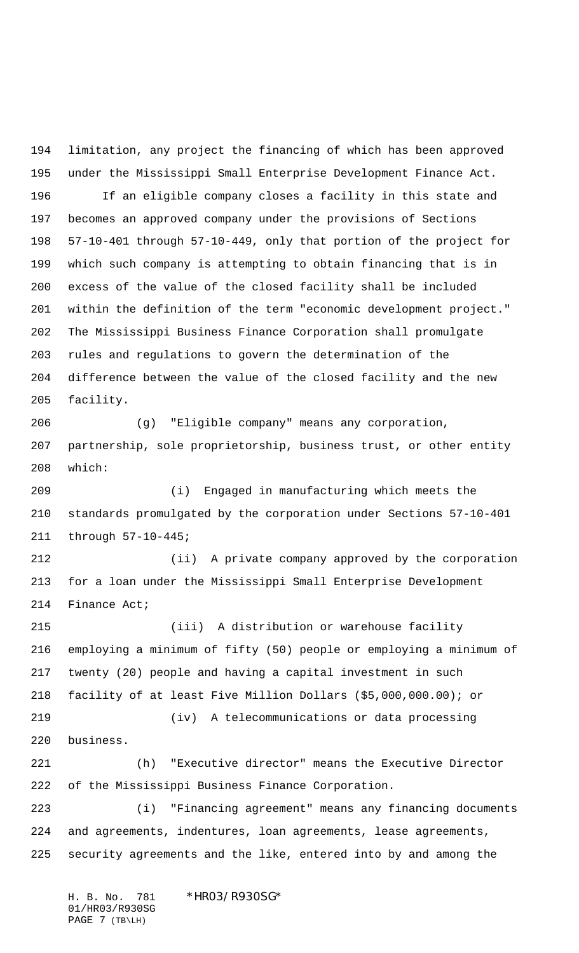limitation, any project the financing of which has been approved under the Mississippi Small Enterprise Development Finance Act. If an eligible company closes a facility in this state and becomes an approved company under the provisions of Sections 57-10-401 through 57-10-449, only that portion of the project for which such company is attempting to obtain financing that is in excess of the value of the closed facility shall be included within the definition of the term "economic development project." The Mississippi Business Finance Corporation shall promulgate rules and regulations to govern the determination of the difference between the value of the closed facility and the new facility.

 (g) "Eligible company" means any corporation, partnership, sole proprietorship, business trust, or other entity which:

 (i) Engaged in manufacturing which meets the standards promulgated by the corporation under Sections 57-10-401 through 57-10-445;

 (ii) A private company approved by the corporation for a loan under the Mississippi Small Enterprise Development Finance Act;

 (iii) A distribution or warehouse facility employing a minimum of fifty (50) people or employing a minimum of twenty (20) people and having a capital investment in such facility of at least Five Million Dollars (\$5,000,000.00); or (iv) A telecommunications or data processing business. (h) "Executive director" means the Executive Director of the Mississippi Business Finance Corporation. (i) "Financing agreement" means any financing documents

 and agreements, indentures, loan agreements, lease agreements, security agreements and the like, entered into by and among the

H. B. No. 781 \*HR03/R930SG\* 01/HR03/R930SG PAGE 7 (TB\LH)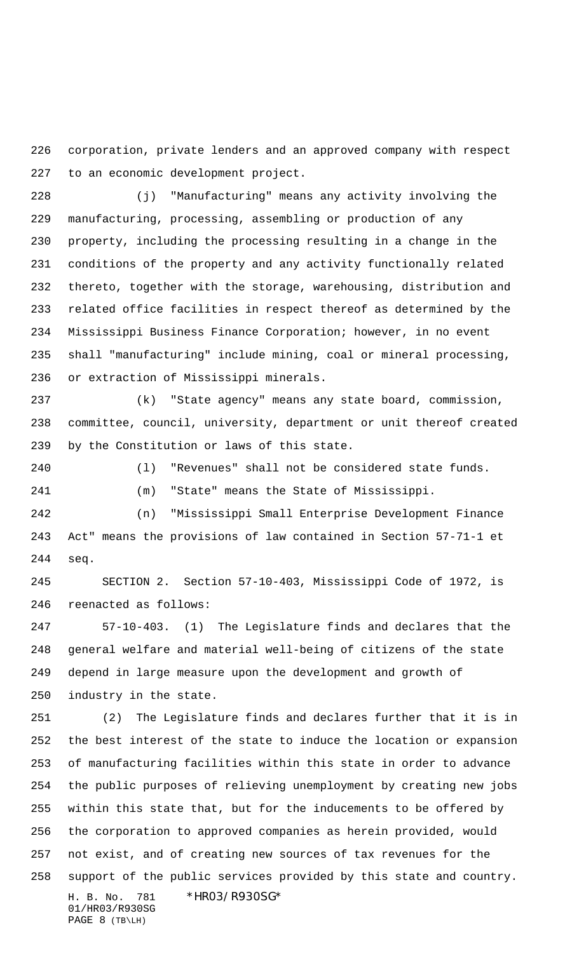corporation, private lenders and an approved company with respect to an economic development project.

 (j) "Manufacturing" means any activity involving the manufacturing, processing, assembling or production of any property, including the processing resulting in a change in the conditions of the property and any activity functionally related thereto, together with the storage, warehousing, distribution and related office facilities in respect thereof as determined by the Mississippi Business Finance Corporation; however, in no event shall "manufacturing" include mining, coal or mineral processing, or extraction of Mississippi minerals.

 (k) "State agency" means any state board, commission, committee, council, university, department or unit thereof created by the Constitution or laws of this state.

(l) "Revenues" shall not be considered state funds.

(m) "State" means the State of Mississippi.

 (n) "Mississippi Small Enterprise Development Finance Act" means the provisions of law contained in Section 57-71-1 et seq.

 SECTION 2. Section 57-10-403, Mississippi Code of 1972, is reenacted as follows:

 57-10-403. (1) The Legislature finds and declares that the general welfare and material well-being of citizens of the state depend in large measure upon the development and growth of industry in the state.

H. B. No. 781 \*HR03/R930SG\* 01/HR03/R930SG (2) The Legislature finds and declares further that it is in the best interest of the state to induce the location or expansion of manufacturing facilities within this state in order to advance the public purposes of relieving unemployment by creating new jobs within this state that, but for the inducements to be offered by the corporation to approved companies as herein provided, would not exist, and of creating new sources of tax revenues for the support of the public services provided by this state and country.

PAGE 8 (TB\LH)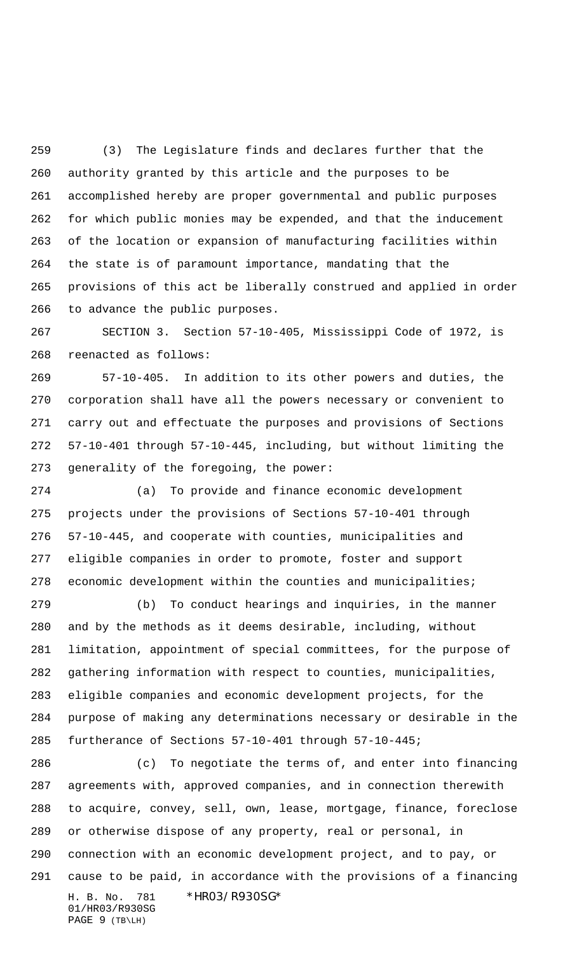(3) The Legislature finds and declares further that the authority granted by this article and the purposes to be accomplished hereby are proper governmental and public purposes for which public monies may be expended, and that the inducement of the location or expansion of manufacturing facilities within the state is of paramount importance, mandating that the provisions of this act be liberally construed and applied in order to advance the public purposes.

 SECTION 3. Section 57-10-405, Mississippi Code of 1972, is reenacted as follows:

 57-10-405. In addition to its other powers and duties, the corporation shall have all the powers necessary or convenient to carry out and effectuate the purposes and provisions of Sections 57-10-401 through 57-10-445, including, but without limiting the generality of the foregoing, the power:

 (a) To provide and finance economic development projects under the provisions of Sections 57-10-401 through 57-10-445, and cooperate with counties, municipalities and eligible companies in order to promote, foster and support economic development within the counties and municipalities;

 (b) To conduct hearings and inquiries, in the manner and by the methods as it deems desirable, including, without limitation, appointment of special committees, for the purpose of gathering information with respect to counties, municipalities, eligible companies and economic development projects, for the purpose of making any determinations necessary or desirable in the furtherance of Sections 57-10-401 through 57-10-445;

H. B. No. 781 \*HR03/R930SG\* 01/HR03/R930SG PAGE 9 (TB\LH) (c) To negotiate the terms of, and enter into financing agreements with, approved companies, and in connection therewith to acquire, convey, sell, own, lease, mortgage, finance, foreclose or otherwise dispose of any property, real or personal, in connection with an economic development project, and to pay, or cause to be paid, in accordance with the provisions of a financing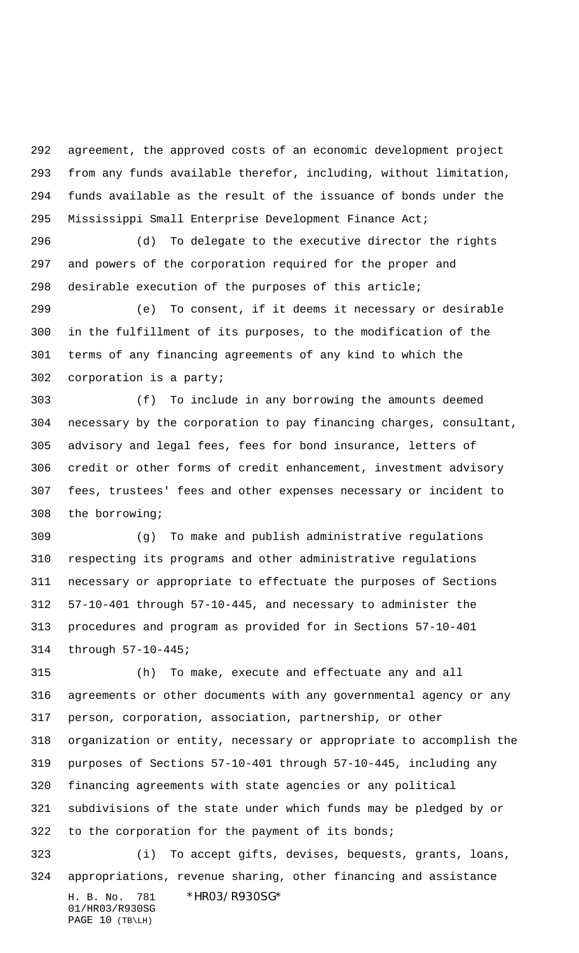agreement, the approved costs of an economic development project from any funds available therefor, including, without limitation, funds available as the result of the issuance of bonds under the Mississippi Small Enterprise Development Finance Act;

 (d) To delegate to the executive director the rights and powers of the corporation required for the proper and desirable execution of the purposes of this article;

 (e) To consent, if it deems it necessary or desirable in the fulfillment of its purposes, to the modification of the terms of any financing agreements of any kind to which the corporation is a party;

 (f) To include in any borrowing the amounts deemed necessary by the corporation to pay financing charges, consultant, advisory and legal fees, fees for bond insurance, letters of credit or other forms of credit enhancement, investment advisory fees, trustees' fees and other expenses necessary or incident to the borrowing;

 (g) To make and publish administrative regulations respecting its programs and other administrative regulations necessary or appropriate to effectuate the purposes of Sections 57-10-401 through 57-10-445, and necessary to administer the procedures and program as provided for in Sections 57-10-401 through 57-10-445;

 (h) To make, execute and effectuate any and all agreements or other documents with any governmental agency or any person, corporation, association, partnership, or other organization or entity, necessary or appropriate to accomplish the purposes of Sections 57-10-401 through 57-10-445, including any financing agreements with state agencies or any political subdivisions of the state under which funds may be pledged by or to the corporation for the payment of its bonds;

H. B. No. 781 \*HR03/R930SG\* 01/HR03/R930SG PAGE 10 (TB\LH) (i) To accept gifts, devises, bequests, grants, loans, appropriations, revenue sharing, other financing and assistance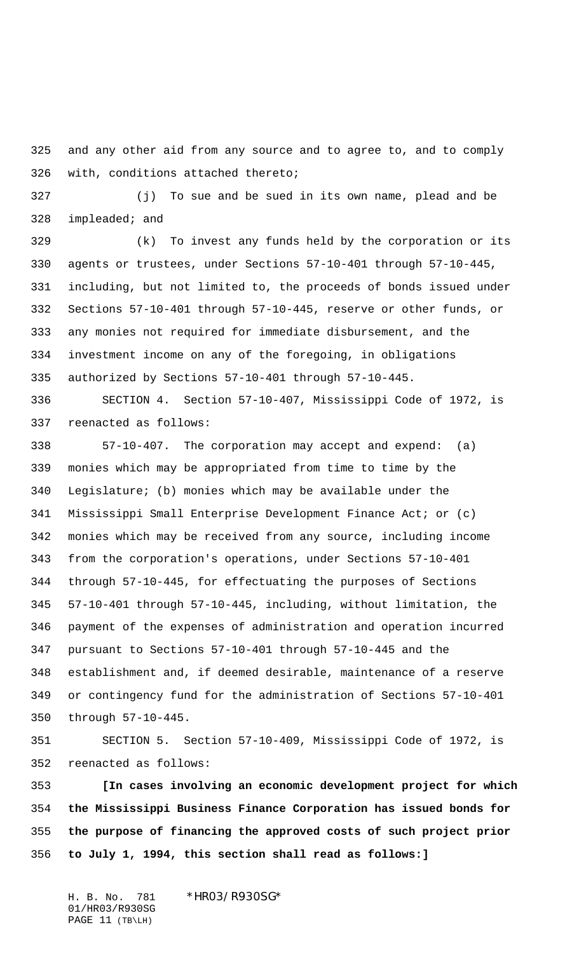and any other aid from any source and to agree to, and to comply with, conditions attached thereto;

 (j) To sue and be sued in its own name, plead and be impleaded; and

 (k) To invest any funds held by the corporation or its agents or trustees, under Sections 57-10-401 through 57-10-445, including, but not limited to, the proceeds of bonds issued under Sections 57-10-401 through 57-10-445, reserve or other funds, or any monies not required for immediate disbursement, and the investment income on any of the foregoing, in obligations authorized by Sections 57-10-401 through 57-10-445.

 SECTION 4. Section 57-10-407, Mississippi Code of 1972, is reenacted as follows:

 57-10-407. The corporation may accept and expend: (a) monies which may be appropriated from time to time by the Legislature; (b) monies which may be available under the Mississippi Small Enterprise Development Finance Act; or (c) monies which may be received from any source, including income from the corporation's operations, under Sections 57-10-401 through 57-10-445, for effectuating the purposes of Sections 57-10-401 through 57-10-445, including, without limitation, the payment of the expenses of administration and operation incurred pursuant to Sections 57-10-401 through 57-10-445 and the establishment and, if deemed desirable, maintenance of a reserve or contingency fund for the administration of Sections 57-10-401 through 57-10-445.

 SECTION 5. Section 57-10-409, Mississippi Code of 1972, is reenacted as follows:

 **[In cases involving an economic development project for which the Mississippi Business Finance Corporation has issued bonds for the purpose of financing the approved costs of such project prior to July 1, 1994, this section shall read as follows:]**

H. B. No. 781 \*HR03/R930SG\* 01/HR03/R930SG PAGE 11 (TB\LH)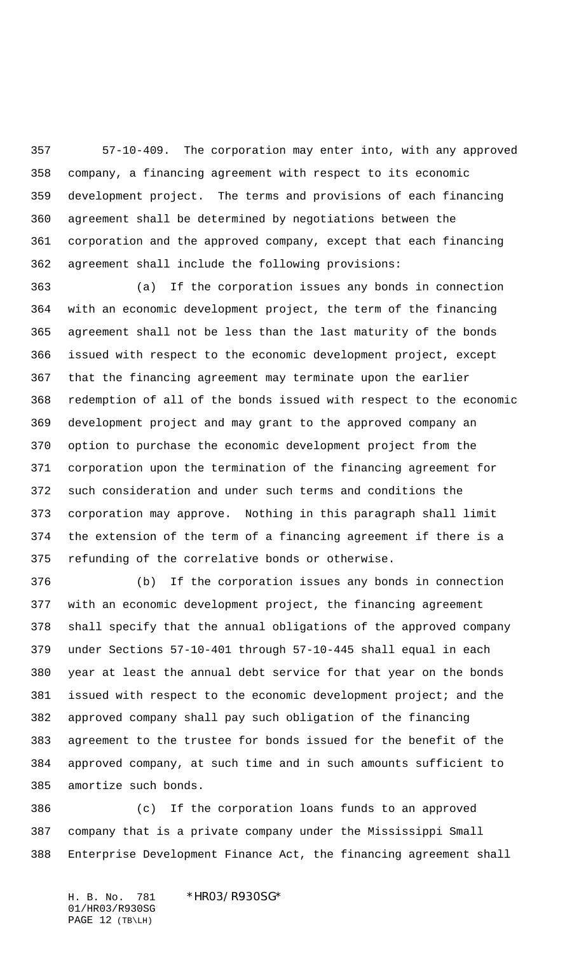57-10-409. The corporation may enter into, with any approved company, a financing agreement with respect to its economic development project. The terms and provisions of each financing agreement shall be determined by negotiations between the corporation and the approved company, except that each financing agreement shall include the following provisions:

 (a) If the corporation issues any bonds in connection with an economic development project, the term of the financing agreement shall not be less than the last maturity of the bonds issued with respect to the economic development project, except that the financing agreement may terminate upon the earlier redemption of all of the bonds issued with respect to the economic development project and may grant to the approved company an option to purchase the economic development project from the corporation upon the termination of the financing agreement for such consideration and under such terms and conditions the corporation may approve. Nothing in this paragraph shall limit the extension of the term of a financing agreement if there is a refunding of the correlative bonds or otherwise.

 (b) If the corporation issues any bonds in connection with an economic development project, the financing agreement shall specify that the annual obligations of the approved company under Sections 57-10-401 through 57-10-445 shall equal in each year at least the annual debt service for that year on the bonds issued with respect to the economic development project; and the approved company shall pay such obligation of the financing agreement to the trustee for bonds issued for the benefit of the approved company, at such time and in such amounts sufficient to amortize such bonds.

 (c) If the corporation loans funds to an approved company that is a private company under the Mississippi Small Enterprise Development Finance Act, the financing agreement shall

H. B. No. 781 \*HR03/R930SG\* 01/HR03/R930SG PAGE 12 (TB\LH)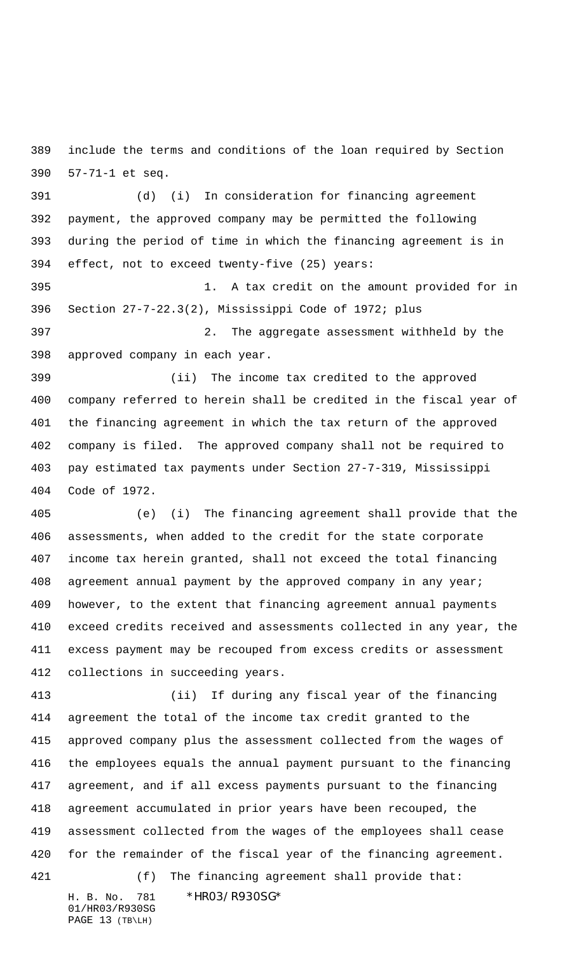include the terms and conditions of the loan required by Section 57-71-1 et seq.

 (d) (i) In consideration for financing agreement payment, the approved company may be permitted the following during the period of time in which the financing agreement is in effect, not to exceed twenty-five (25) years:

 1. A tax credit on the amount provided for in Section 27-7-22.3(2), Mississippi Code of 1972; plus 2. The aggregate assessment withheld by the

approved company in each year.

 (ii) The income tax credited to the approved company referred to herein shall be credited in the fiscal year of the financing agreement in which the tax return of the approved company is filed. The approved company shall not be required to pay estimated tax payments under Section 27-7-319, Mississippi Code of 1972.

 (e) (i) The financing agreement shall provide that the assessments, when added to the credit for the state corporate income tax herein granted, shall not exceed the total financing 408 agreement annual payment by the approved company in any year; however, to the extent that financing agreement annual payments exceed credits received and assessments collected in any year, the excess payment may be recouped from excess credits or assessment collections in succeeding years.

 (ii) If during any fiscal year of the financing agreement the total of the income tax credit granted to the approved company plus the assessment collected from the wages of the employees equals the annual payment pursuant to the financing agreement, and if all excess payments pursuant to the financing agreement accumulated in prior years have been recouped, the assessment collected from the wages of the employees shall cease for the remainder of the fiscal year of the financing agreement.

H. B. No. 781 \*HR03/R930SG\* (f) The financing agreement shall provide that:

01/HR03/R930SG PAGE 13 (TB\LH)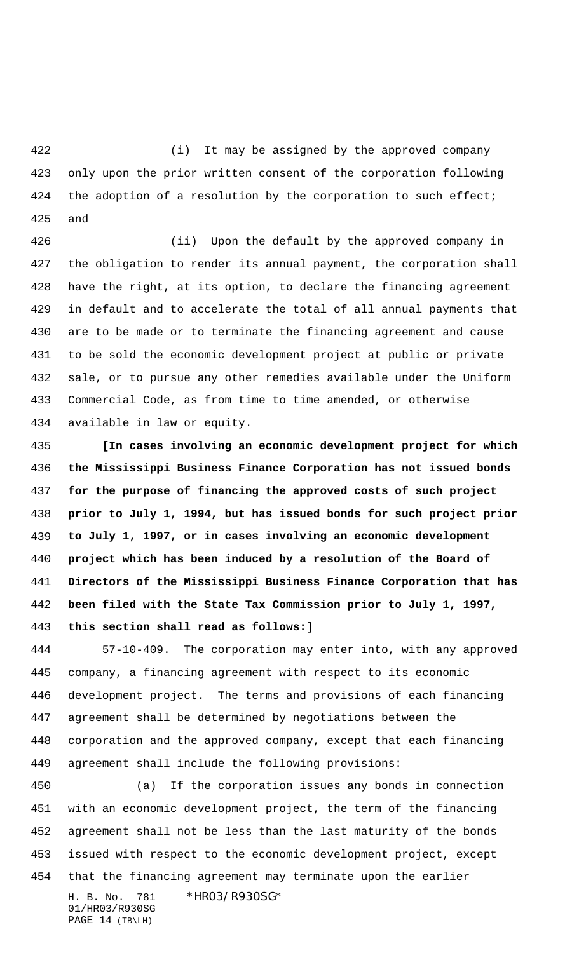(i) It may be assigned by the approved company only upon the prior written consent of the corporation following 424 the adoption of a resolution by the corporation to such effect; and

 (ii) Upon the default by the approved company in the obligation to render its annual payment, the corporation shall have the right, at its option, to declare the financing agreement in default and to accelerate the total of all annual payments that are to be made or to terminate the financing agreement and cause to be sold the economic development project at public or private sale, or to pursue any other remedies available under the Uniform Commercial Code, as from time to time amended, or otherwise available in law or equity.

 **[In cases involving an economic development project for which the Mississippi Business Finance Corporation has not issued bonds for the purpose of financing the approved costs of such project prior to July 1, 1994, but has issued bonds for such project prior to July 1, 1997, or in cases involving an economic development project which has been induced by a resolution of the Board of Directors of the Mississippi Business Finance Corporation that has been filed with the State Tax Commission prior to July 1, 1997, this section shall read as follows:]**

 57-10-409. The corporation may enter into, with any approved company, a financing agreement with respect to its economic development project. The terms and provisions of each financing agreement shall be determined by negotiations between the corporation and the approved company, except that each financing agreement shall include the following provisions:

H. B. No. 781 \*HR03/R930SG\* (a) If the corporation issues any bonds in connection with an economic development project, the term of the financing agreement shall not be less than the last maturity of the bonds issued with respect to the economic development project, except that the financing agreement may terminate upon the earlier

01/HR03/R930SG PAGE 14 (TB\LH)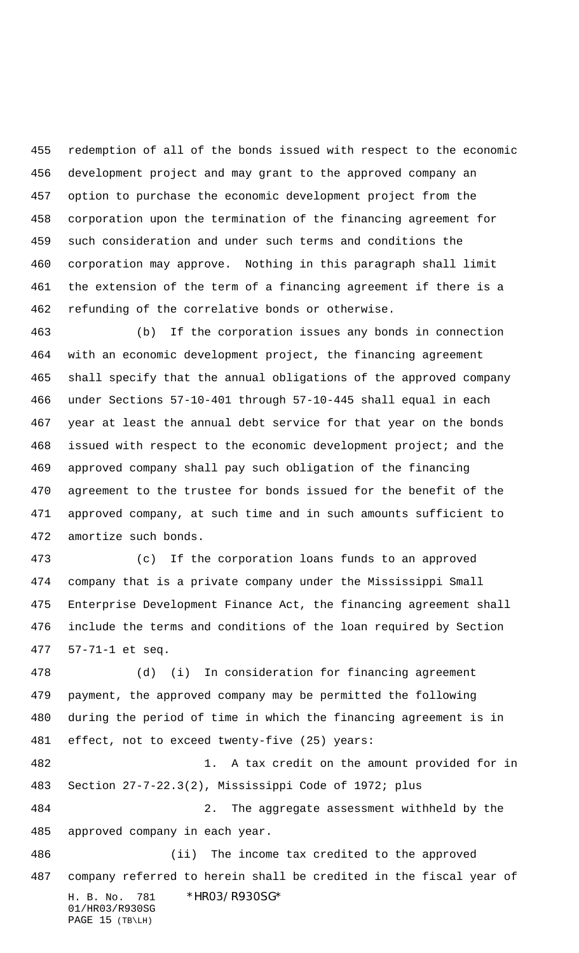redemption of all of the bonds issued with respect to the economic development project and may grant to the approved company an option to purchase the economic development project from the corporation upon the termination of the financing agreement for such consideration and under such terms and conditions the corporation may approve. Nothing in this paragraph shall limit the extension of the term of a financing agreement if there is a refunding of the correlative bonds or otherwise.

 (b) If the corporation issues any bonds in connection with an economic development project, the financing agreement shall specify that the annual obligations of the approved company under Sections 57-10-401 through 57-10-445 shall equal in each year at least the annual debt service for that year on the bonds issued with respect to the economic development project; and the approved company shall pay such obligation of the financing agreement to the trustee for bonds issued for the benefit of the approved company, at such time and in such amounts sufficient to amortize such bonds.

 (c) If the corporation loans funds to an approved company that is a private company under the Mississippi Small Enterprise Development Finance Act, the financing agreement shall include the terms and conditions of the loan required by Section 57-71-1 et seq.

H. B. No. 781 \*HR03/R930SG\* 01/HR03/R930SG (d) (i) In consideration for financing agreement payment, the approved company may be permitted the following during the period of time in which the financing agreement is in effect, not to exceed twenty-five (25) years: 1. A tax credit on the amount provided for in Section 27-7-22.3(2), Mississippi Code of 1972; plus 2. The aggregate assessment withheld by the approved company in each year. (ii) The income tax credited to the approved company referred to herein shall be credited in the fiscal year of

PAGE 15 (TB\LH)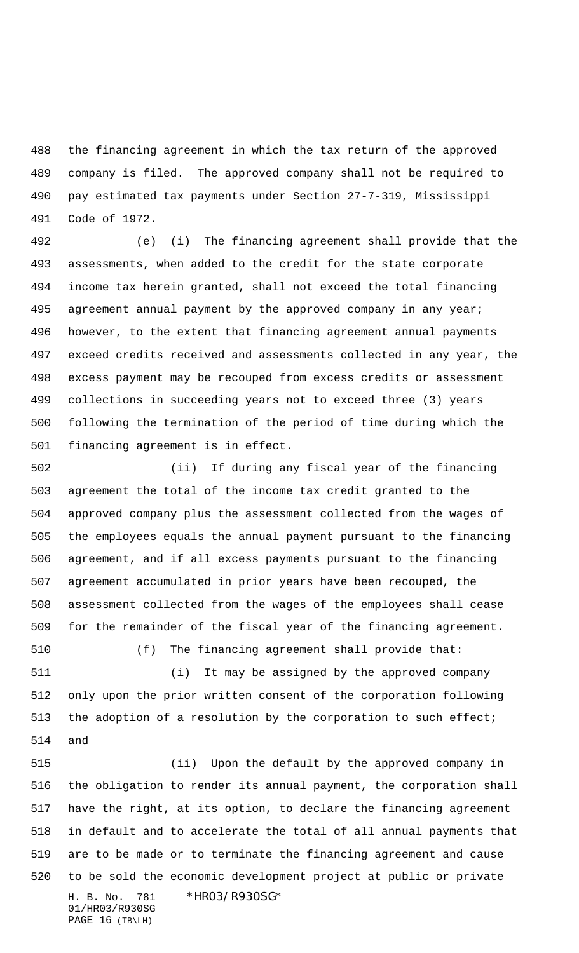the financing agreement in which the tax return of the approved company is filed. The approved company shall not be required to pay estimated tax payments under Section 27-7-319, Mississippi Code of 1972.

 (e) (i) The financing agreement shall provide that the assessments, when added to the credit for the state corporate income tax herein granted, shall not exceed the total financing agreement annual payment by the approved company in any year; however, to the extent that financing agreement annual payments exceed credits received and assessments collected in any year, the excess payment may be recouped from excess credits or assessment collections in succeeding years not to exceed three (3) years following the termination of the period of time during which the financing agreement is in effect.

 (ii) If during any fiscal year of the financing agreement the total of the income tax credit granted to the approved company plus the assessment collected from the wages of the employees equals the annual payment pursuant to the financing agreement, and if all excess payments pursuant to the financing agreement accumulated in prior years have been recouped, the assessment collected from the wages of the employees shall cease for the remainder of the fiscal year of the financing agreement.

(f) The financing agreement shall provide that:

 (i) It may be assigned by the approved company only upon the prior written consent of the corporation following 513 the adoption of a resolution by the corporation to such effect; and

H. B. No. 781 \*HR03/R930SG\* (ii) Upon the default by the approved company in the obligation to render its annual payment, the corporation shall have the right, at its option, to declare the financing agreement in default and to accelerate the total of all annual payments that are to be made or to terminate the financing agreement and cause to be sold the economic development project at public or private

01/HR03/R930SG PAGE 16 (TB\LH)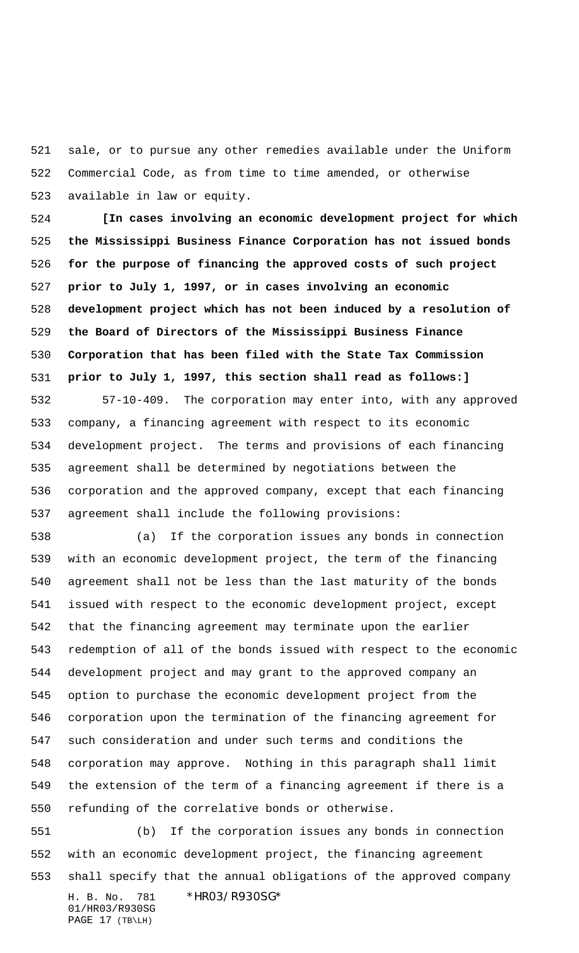sale, or to pursue any other remedies available under the Uniform Commercial Code, as from time to time amended, or otherwise available in law or equity.

 **[In cases involving an economic development project for which the Mississippi Business Finance Corporation has not issued bonds for the purpose of financing the approved costs of such project prior to July 1, 1997, or in cases involving an economic development project which has not been induced by a resolution of the Board of Directors of the Mississippi Business Finance Corporation that has been filed with the State Tax Commission prior to July 1, 1997, this section shall read as follows:]**

 57-10-409. The corporation may enter into, with any approved company, a financing agreement with respect to its economic development project. The terms and provisions of each financing agreement shall be determined by negotiations between the corporation and the approved company, except that each financing agreement shall include the following provisions:

 (a) If the corporation issues any bonds in connection with an economic development project, the term of the financing agreement shall not be less than the last maturity of the bonds issued with respect to the economic development project, except that the financing agreement may terminate upon the earlier redemption of all of the bonds issued with respect to the economic development project and may grant to the approved company an option to purchase the economic development project from the corporation upon the termination of the financing agreement for such consideration and under such terms and conditions the corporation may approve. Nothing in this paragraph shall limit the extension of the term of a financing agreement if there is a refunding of the correlative bonds or otherwise.

H. B. No. 781 \*HR03/R930SG\* 01/HR03/R930SG PAGE 17 (TB\LH) (b) If the corporation issues any bonds in connection with an economic development project, the financing agreement shall specify that the annual obligations of the approved company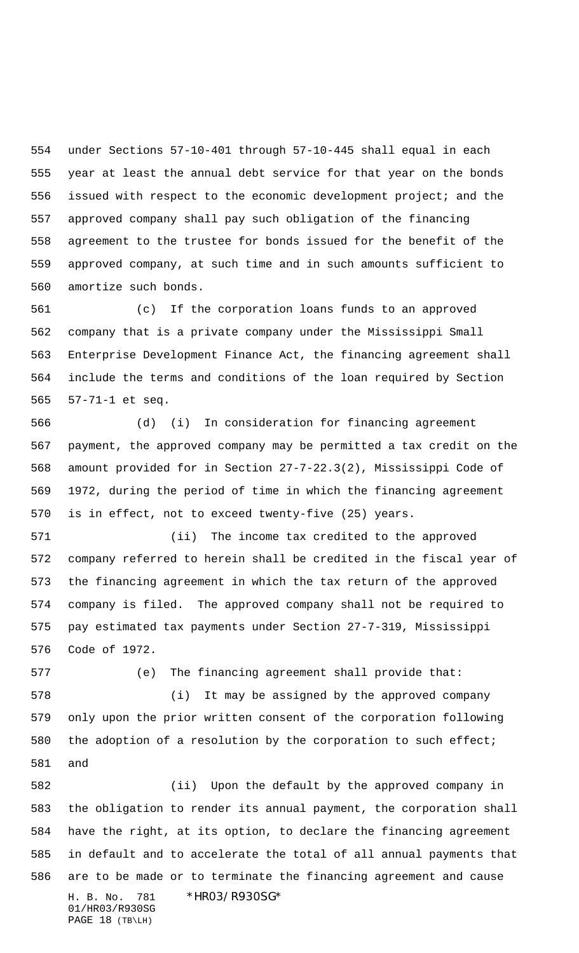under Sections 57-10-401 through 57-10-445 shall equal in each year at least the annual debt service for that year on the bonds issued with respect to the economic development project; and the approved company shall pay such obligation of the financing agreement to the trustee for bonds issued for the benefit of the approved company, at such time and in such amounts sufficient to amortize such bonds.

 (c) If the corporation loans funds to an approved company that is a private company under the Mississippi Small Enterprise Development Finance Act, the financing agreement shall include the terms and conditions of the loan required by Section 57-71-1 et seq.

 (d) (i) In consideration for financing agreement payment, the approved company may be permitted a tax credit on the amount provided for in Section 27-7-22.3(2), Mississippi Code of 1972, during the period of time in which the financing agreement is in effect, not to exceed twenty-five (25) years.

 (ii) The income tax credited to the approved company referred to herein shall be credited in the fiscal year of the financing agreement in which the tax return of the approved company is filed. The approved company shall not be required to pay estimated tax payments under Section 27-7-319, Mississippi Code of 1972.

 (e) The financing agreement shall provide that: (i) It may be assigned by the approved company only upon the prior written consent of the corporation following 580 the adoption of a resolution by the corporation to such effect; and

H. B. No. 781 \*HR03/R930SG\* 01/HR03/R930SG (ii) Upon the default by the approved company in the obligation to render its annual payment, the corporation shall have the right, at its option, to declare the financing agreement in default and to accelerate the total of all annual payments that are to be made or to terminate the financing agreement and cause

PAGE 18 (TB\LH)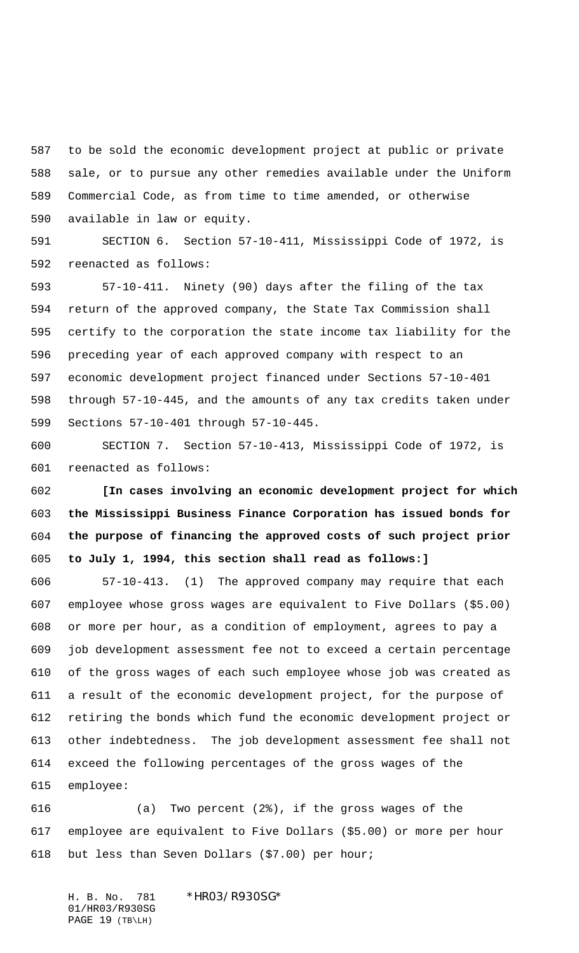to be sold the economic development project at public or private sale, or to pursue any other remedies available under the Uniform Commercial Code, as from time to time amended, or otherwise available in law or equity.

 SECTION 6. Section 57-10-411, Mississippi Code of 1972, is reenacted as follows:

 57-10-411. Ninety (90) days after the filing of the tax return of the approved company, the State Tax Commission shall certify to the corporation the state income tax liability for the preceding year of each approved company with respect to an economic development project financed under Sections 57-10-401 through 57-10-445, and the amounts of any tax credits taken under Sections 57-10-401 through 57-10-445.

 SECTION 7. Section 57-10-413, Mississippi Code of 1972, is reenacted as follows:

 **[In cases involving an economic development project for which the Mississippi Business Finance Corporation has issued bonds for the purpose of financing the approved costs of such project prior to July 1, 1994, this section shall read as follows:]**

 57-10-413. (1) The approved company may require that each employee whose gross wages are equivalent to Five Dollars (\$5.00) or more per hour, as a condition of employment, agrees to pay a job development assessment fee not to exceed a certain percentage of the gross wages of each such employee whose job was created as a result of the economic development project, for the purpose of retiring the bonds which fund the economic development project or other indebtedness. The job development assessment fee shall not exceed the following percentages of the gross wages of the employee:

 (a) Two percent (2%), if the gross wages of the employee are equivalent to Five Dollars (\$5.00) or more per hour but less than Seven Dollars (\$7.00) per hour;

H. B. No. 781 \*HR03/R930SG\* 01/HR03/R930SG PAGE 19 (TB\LH)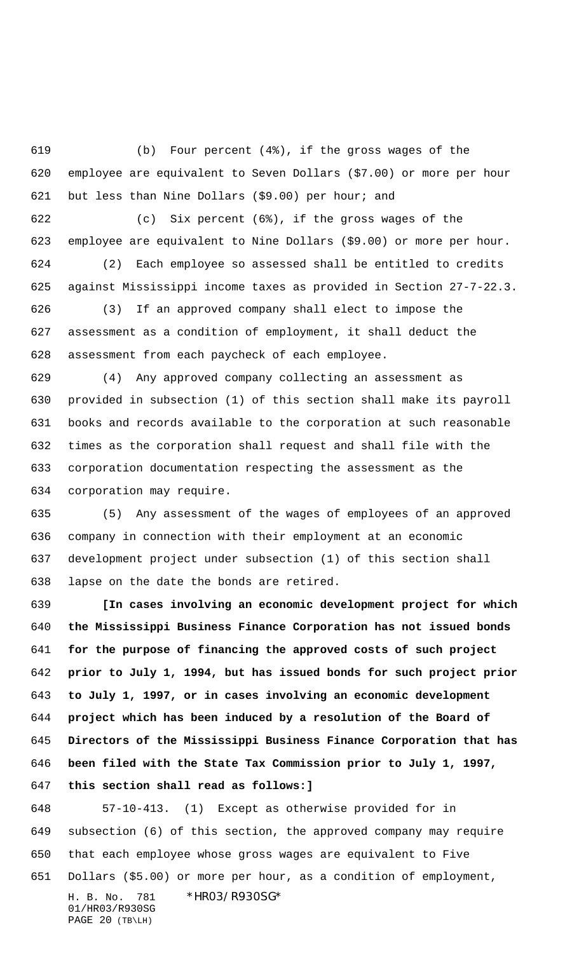(b) Four percent (4%), if the gross wages of the employee are equivalent to Seven Dollars (\$7.00) or more per hour but less than Nine Dollars (\$9.00) per hour; and

 (c) Six percent (6%), if the gross wages of the employee are equivalent to Nine Dollars (\$9.00) or more per hour. (2) Each employee so assessed shall be entitled to credits against Mississippi income taxes as provided in Section 27-7-22.3.

 (3) If an approved company shall elect to impose the assessment as a condition of employment, it shall deduct the assessment from each paycheck of each employee.

 (4) Any approved company collecting an assessment as provided in subsection (1) of this section shall make its payroll books and records available to the corporation at such reasonable times as the corporation shall request and shall file with the corporation documentation respecting the assessment as the corporation may require.

 (5) Any assessment of the wages of employees of an approved company in connection with their employment at an economic development project under subsection (1) of this section shall lapse on the date the bonds are retired.

 **[In cases involving an economic development project for which the Mississippi Business Finance Corporation has not issued bonds for the purpose of financing the approved costs of such project prior to July 1, 1994, but has issued bonds for such project prior to July 1, 1997, or in cases involving an economic development project which has been induced by a resolution of the Board of Directors of the Mississippi Business Finance Corporation that has been filed with the State Tax Commission prior to July 1, 1997,**

**this section shall read as follows:]**

H. B. No. 781 \*HR03/R930SG\* 01/HR03/R930SG 57-10-413. (1) Except as otherwise provided for in subsection (6) of this section, the approved company may require that each employee whose gross wages are equivalent to Five Dollars (\$5.00) or more per hour, as a condition of employment,

PAGE 20 (TB\LH)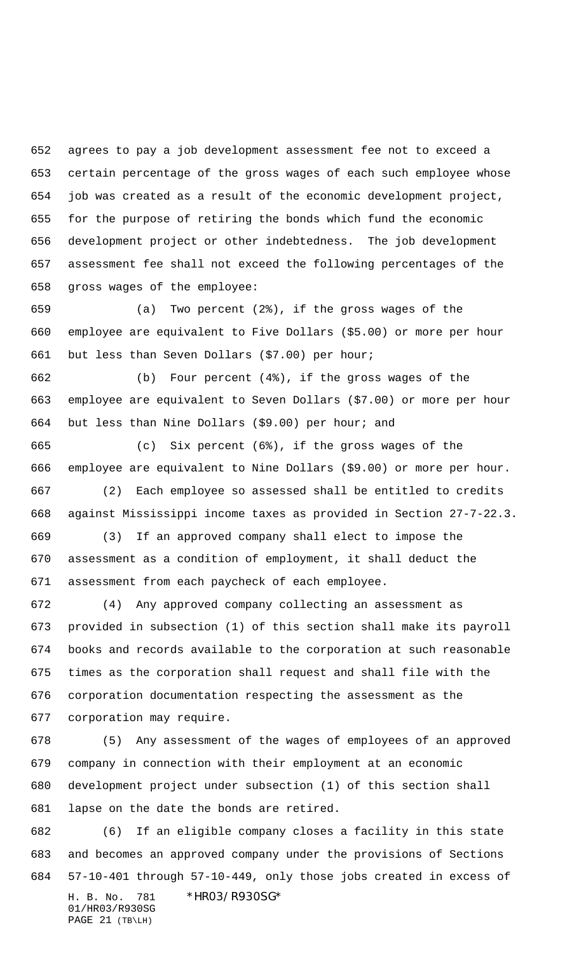agrees to pay a job development assessment fee not to exceed a certain percentage of the gross wages of each such employee whose job was created as a result of the economic development project, for the purpose of retiring the bonds which fund the economic development project or other indebtedness. The job development assessment fee shall not exceed the following percentages of the gross wages of the employee:

 (a) Two percent (2%), if the gross wages of the employee are equivalent to Five Dollars (\$5.00) or more per hour but less than Seven Dollars (\$7.00) per hour;

 (b) Four percent (4%), if the gross wages of the employee are equivalent to Seven Dollars (\$7.00) or more per hour but less than Nine Dollars (\$9.00) per hour; and

 (c) Six percent (6%), if the gross wages of the employee are equivalent to Nine Dollars (\$9.00) or more per hour.

 (2) Each employee so assessed shall be entitled to credits against Mississippi income taxes as provided in Section 27-7-22.3.

 (3) If an approved company shall elect to impose the assessment as a condition of employment, it shall deduct the assessment from each paycheck of each employee.

 (4) Any approved company collecting an assessment as provided in subsection (1) of this section shall make its payroll books and records available to the corporation at such reasonable times as the corporation shall request and shall file with the corporation documentation respecting the assessment as the corporation may require.

 (5) Any assessment of the wages of employees of an approved company in connection with their employment at an economic development project under subsection (1) of this section shall lapse on the date the bonds are retired.

H. B. No. 781 \*HR03/R930SG\* 01/HR03/R930SG (6) If an eligible company closes a facility in this state and becomes an approved company under the provisions of Sections 57-10-401 through 57-10-449, only those jobs created in excess of

```
PAGE 21 (TB\LH)
```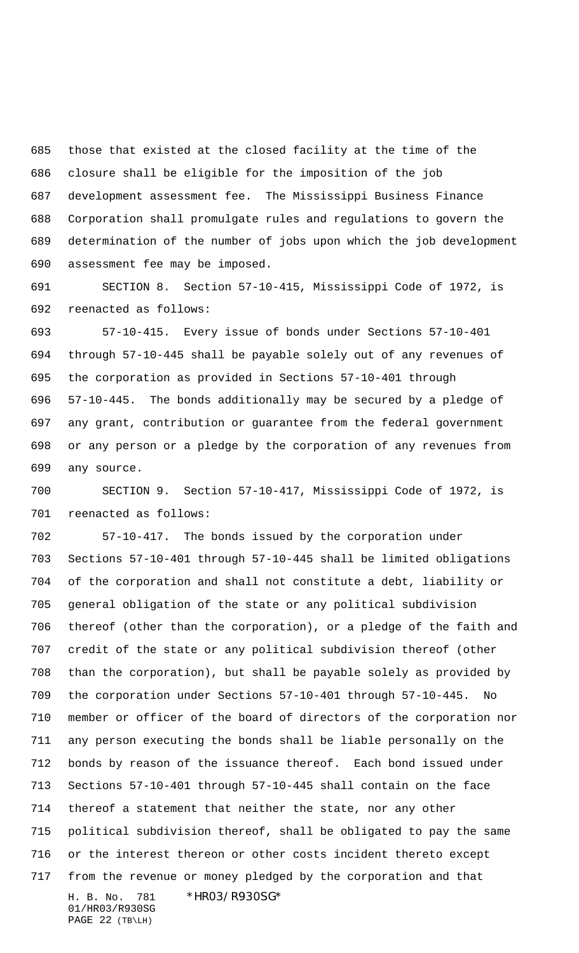those that existed at the closed facility at the time of the closure shall be eligible for the imposition of the job development assessment fee. The Mississippi Business Finance Corporation shall promulgate rules and regulations to govern the determination of the number of jobs upon which the job development assessment fee may be imposed.

 SECTION 8. Section 57-10-415, Mississippi Code of 1972, is reenacted as follows:

 57-10-415. Every issue of bonds under Sections 57-10-401 through 57-10-445 shall be payable solely out of any revenues of the corporation as provided in Sections 57-10-401 through 57-10-445. The bonds additionally may be secured by a pledge of any grant, contribution or guarantee from the federal government or any person or a pledge by the corporation of any revenues from any source.

 SECTION 9. Section 57-10-417, Mississippi Code of 1972, is reenacted as follows:

H. B. No. 781 \*HR03/R930SG\* 57-10-417. The bonds issued by the corporation under Sections 57-10-401 through 57-10-445 shall be limited obligations of the corporation and shall not constitute a debt, liability or general obligation of the state or any political subdivision thereof (other than the corporation), or a pledge of the faith and credit of the state or any political subdivision thereof (other than the corporation), but shall be payable solely as provided by the corporation under Sections 57-10-401 through 57-10-445. No member or officer of the board of directors of the corporation nor any person executing the bonds shall be liable personally on the bonds by reason of the issuance thereof. Each bond issued under Sections 57-10-401 through 57-10-445 shall contain on the face thereof a statement that neither the state, nor any other political subdivision thereof, shall be obligated to pay the same or the interest thereon or other costs incident thereto except from the revenue or money pledged by the corporation and that

01/HR03/R930SG PAGE 22 (TB\LH)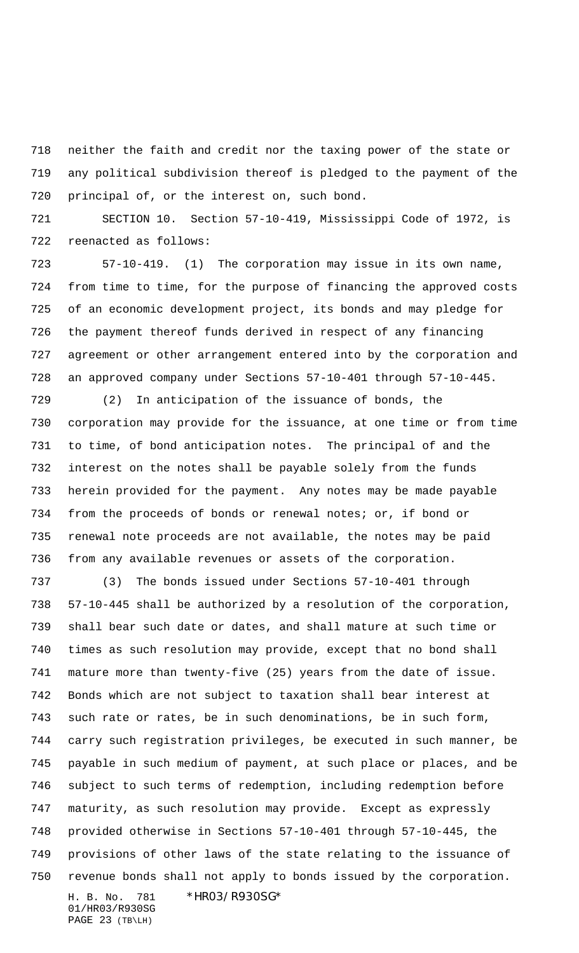neither the faith and credit nor the taxing power of the state or any political subdivision thereof is pledged to the payment of the principal of, or the interest on, such bond.

 SECTION 10. Section 57-10-419, Mississippi Code of 1972, is reenacted as follows:

 57-10-419. (1) The corporation may issue in its own name, from time to time, for the purpose of financing the approved costs of an economic development project, its bonds and may pledge for the payment thereof funds derived in respect of any financing agreement or other arrangement entered into by the corporation and an approved company under Sections 57-10-401 through 57-10-445.

 (2) In anticipation of the issuance of bonds, the corporation may provide for the issuance, at one time or from time to time, of bond anticipation notes. The principal of and the interest on the notes shall be payable solely from the funds herein provided for the payment. Any notes may be made payable from the proceeds of bonds or renewal notes; or, if bond or renewal note proceeds are not available, the notes may be paid from any available revenues or assets of the corporation.

H. B. No. 781 \*HR03/R930SG\* (3) The bonds issued under Sections 57-10-401 through 57-10-445 shall be authorized by a resolution of the corporation, shall bear such date or dates, and shall mature at such time or times as such resolution may provide, except that no bond shall mature more than twenty-five (25) years from the date of issue. Bonds which are not subject to taxation shall bear interest at such rate or rates, be in such denominations, be in such form, carry such registration privileges, be executed in such manner, be payable in such medium of payment, at such place or places, and be subject to such terms of redemption, including redemption before maturity, as such resolution may provide. Except as expressly provided otherwise in Sections 57-10-401 through 57-10-445, the provisions of other laws of the state relating to the issuance of revenue bonds shall not apply to bonds issued by the corporation.

01/HR03/R930SG PAGE 23 (TB\LH)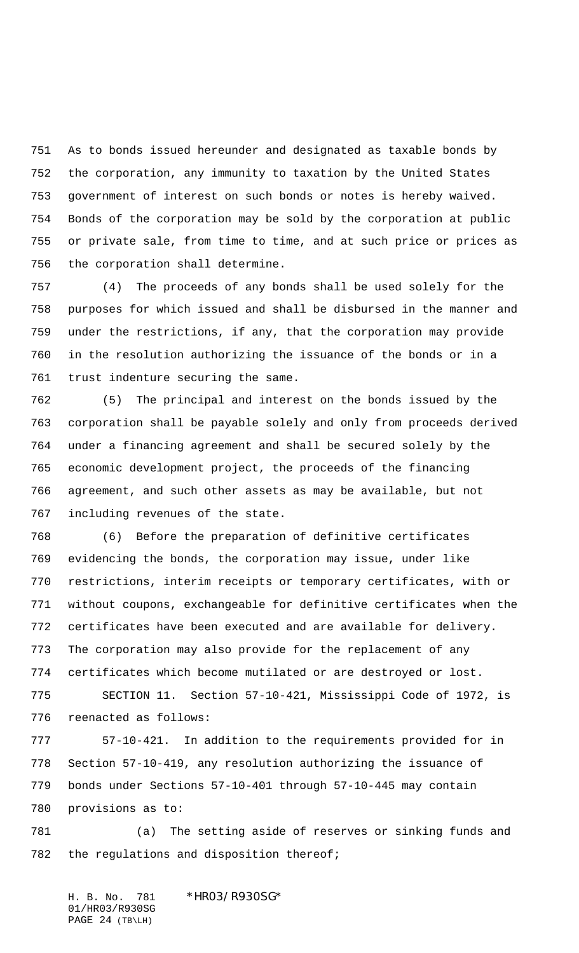As to bonds issued hereunder and designated as taxable bonds by the corporation, any immunity to taxation by the United States government of interest on such bonds or notes is hereby waived. Bonds of the corporation may be sold by the corporation at public or private sale, from time to time, and at such price or prices as the corporation shall determine.

 (4) The proceeds of any bonds shall be used solely for the purposes for which issued and shall be disbursed in the manner and under the restrictions, if any, that the corporation may provide in the resolution authorizing the issuance of the bonds or in a trust indenture securing the same.

 (5) The principal and interest on the bonds issued by the corporation shall be payable solely and only from proceeds derived under a financing agreement and shall be secured solely by the economic development project, the proceeds of the financing agreement, and such other assets as may be available, but not including revenues of the state.

 (6) Before the preparation of definitive certificates evidencing the bonds, the corporation may issue, under like restrictions, interim receipts or temporary certificates, with or without coupons, exchangeable for definitive certificates when the certificates have been executed and are available for delivery. The corporation may also provide for the replacement of any certificates which become mutilated or are destroyed or lost.

 SECTION 11. Section 57-10-421, Mississippi Code of 1972, is reenacted as follows:

 57-10-421. In addition to the requirements provided for in Section 57-10-419, any resolution authorizing the issuance of bonds under Sections 57-10-401 through 57-10-445 may contain provisions as to:

 (a) The setting aside of reserves or sinking funds and the regulations and disposition thereof;

H. B. No. 781 \*HR03/R930SG\* 01/HR03/R930SG PAGE 24 (TB\LH)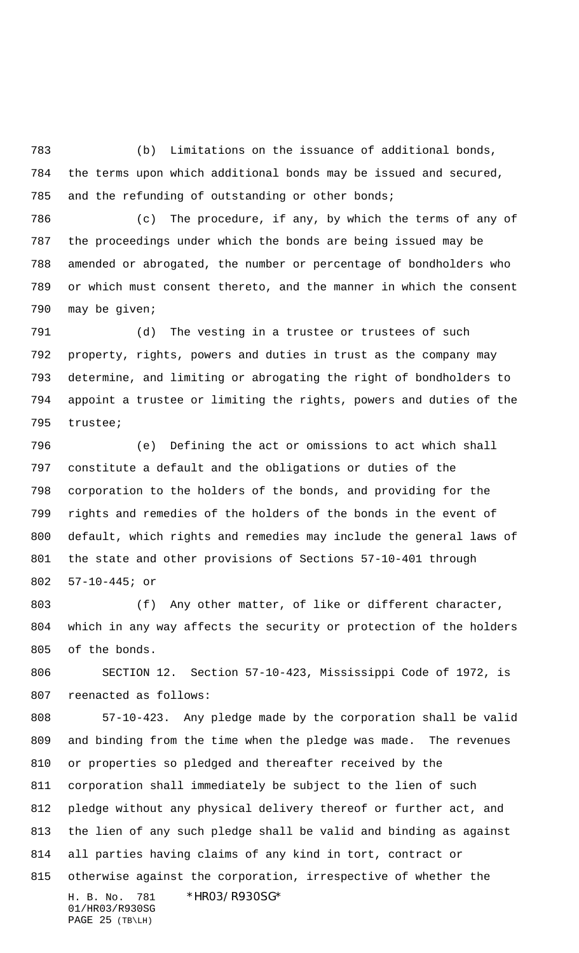(b) Limitations on the issuance of additional bonds, the terms upon which additional bonds may be issued and secured, and the refunding of outstanding or other bonds;

 (c) The procedure, if any, by which the terms of any of the proceedings under which the bonds are being issued may be amended or abrogated, the number or percentage of bondholders who or which must consent thereto, and the manner in which the consent may be given;

 (d) The vesting in a trustee or trustees of such property, rights, powers and duties in trust as the company may determine, and limiting or abrogating the right of bondholders to appoint a trustee or limiting the rights, powers and duties of the trustee;

 (e) Defining the act or omissions to act which shall constitute a default and the obligations or duties of the corporation to the holders of the bonds, and providing for the rights and remedies of the holders of the bonds in the event of default, which rights and remedies may include the general laws of the state and other provisions of Sections 57-10-401 through 57-10-445; or

803 (f) Any other matter, of like or different character, which in any way affects the security or protection of the holders of the bonds.

 SECTION 12. Section 57-10-423, Mississippi Code of 1972, is reenacted as follows:

H. B. No. 781 \*HR03/R930SG\* 01/HR03/R930SG PAGE 25 (TB\LH) 57-10-423. Any pledge made by the corporation shall be valid and binding from the time when the pledge was made. The revenues or properties so pledged and thereafter received by the corporation shall immediately be subject to the lien of such pledge without any physical delivery thereof or further act, and the lien of any such pledge shall be valid and binding as against all parties having claims of any kind in tort, contract or otherwise against the corporation, irrespective of whether the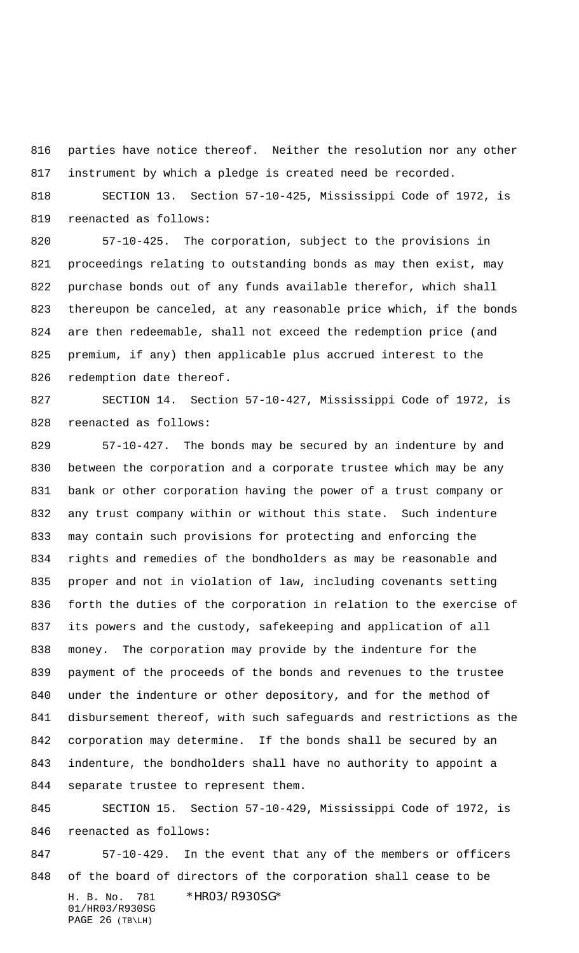parties have notice thereof. Neither the resolution nor any other instrument by which a pledge is created need be recorded.

 SECTION 13. Section 57-10-425, Mississippi Code of 1972, is reenacted as follows:

 57-10-425. The corporation, subject to the provisions in proceedings relating to outstanding bonds as may then exist, may purchase bonds out of any funds available therefor, which shall thereupon be canceled, at any reasonable price which, if the bonds are then redeemable, shall not exceed the redemption price (and premium, if any) then applicable plus accrued interest to the redemption date thereof.

 SECTION 14. Section 57-10-427, Mississippi Code of 1972, is reenacted as follows:

 57-10-427. The bonds may be secured by an indenture by and between the corporation and a corporate trustee which may be any bank or other corporation having the power of a trust company or any trust company within or without this state. Such indenture may contain such provisions for protecting and enforcing the rights and remedies of the bondholders as may be reasonable and proper and not in violation of law, including covenants setting forth the duties of the corporation in relation to the exercise of its powers and the custody, safekeeping and application of all money. The corporation may provide by the indenture for the payment of the proceeds of the bonds and revenues to the trustee under the indenture or other depository, and for the method of disbursement thereof, with such safeguards and restrictions as the corporation may determine. If the bonds shall be secured by an indenture, the bondholders shall have no authority to appoint a separate trustee to represent them.

 SECTION 15. Section 57-10-429, Mississippi Code of 1972, is reenacted as follows:

H. B. No. 781 \*HR03/R930SG\* 01/HR03/R930SG 57-10-429. In the event that any of the members or officers of the board of directors of the corporation shall cease to be

```
PAGE 26 (TB\LH)
```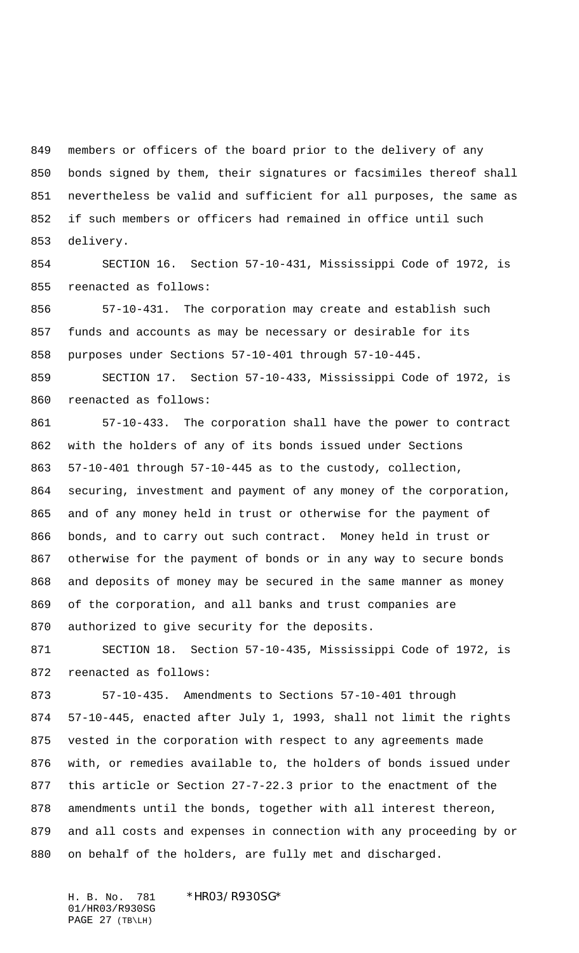members or officers of the board prior to the delivery of any bonds signed by them, their signatures or facsimiles thereof shall nevertheless be valid and sufficient for all purposes, the same as if such members or officers had remained in office until such delivery.

 SECTION 16. Section 57-10-431, Mississippi Code of 1972, is reenacted as follows:

 57-10-431. The corporation may create and establish such funds and accounts as may be necessary or desirable for its purposes under Sections 57-10-401 through 57-10-445.

 SECTION 17. Section 57-10-433, Mississippi Code of 1972, is reenacted as follows:

 57-10-433. The corporation shall have the power to contract with the holders of any of its bonds issued under Sections 57-10-401 through 57-10-445 as to the custody, collection, securing, investment and payment of any money of the corporation, and of any money held in trust or otherwise for the payment of bonds, and to carry out such contract. Money held in trust or otherwise for the payment of bonds or in any way to secure bonds and deposits of money may be secured in the same manner as money of the corporation, and all banks and trust companies are authorized to give security for the deposits.

 SECTION 18. Section 57-10-435, Mississippi Code of 1972, is reenacted as follows:

 57-10-435. Amendments to Sections 57-10-401 through 57-10-445, enacted after July 1, 1993, shall not limit the rights vested in the corporation with respect to any agreements made with, or remedies available to, the holders of bonds issued under this article or Section 27-7-22.3 prior to the enactment of the amendments until the bonds, together with all interest thereon, and all costs and expenses in connection with any proceeding by or on behalf of the holders, are fully met and discharged.

H. B. No. 781 \*HR03/R930SG\* 01/HR03/R930SG PAGE 27 (TB\LH)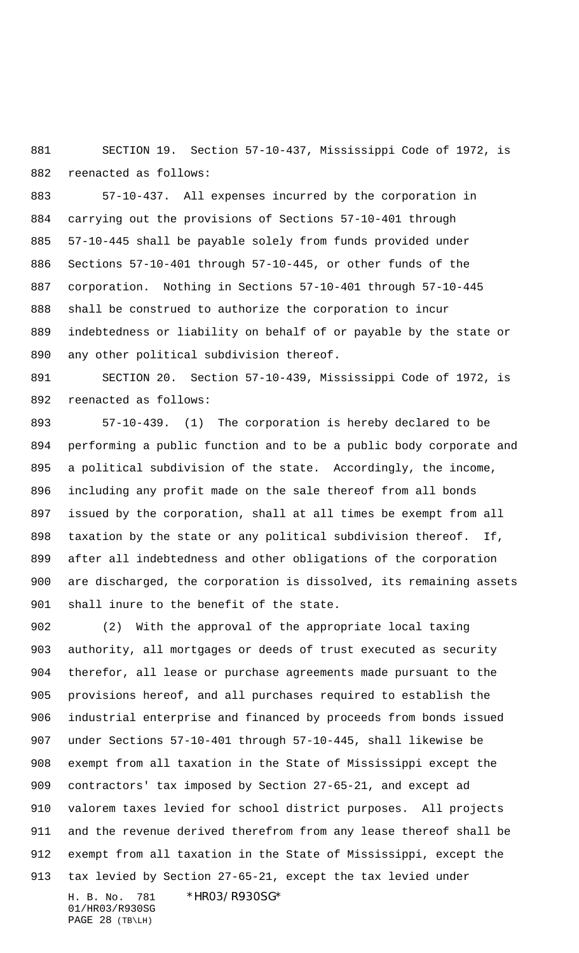SECTION 19. Section 57-10-437, Mississippi Code of 1972, is reenacted as follows:

 57-10-437. All expenses incurred by the corporation in carrying out the provisions of Sections 57-10-401 through 57-10-445 shall be payable solely from funds provided under Sections 57-10-401 through 57-10-445, or other funds of the corporation. Nothing in Sections 57-10-401 through 57-10-445 shall be construed to authorize the corporation to incur indebtedness or liability on behalf of or payable by the state or any other political subdivision thereof.

 SECTION 20. Section 57-10-439, Mississippi Code of 1972, is reenacted as follows:

 57-10-439. (1) The corporation is hereby declared to be performing a public function and to be a public body corporate and a political subdivision of the state. Accordingly, the income, including any profit made on the sale thereof from all bonds issued by the corporation, shall at all times be exempt from all taxation by the state or any political subdivision thereof. If, after all indebtedness and other obligations of the corporation are discharged, the corporation is dissolved, its remaining assets shall inure to the benefit of the state.

H. B. No. 781 \*HR03/R930SG\* 01/HR03/R930SG (2) With the approval of the appropriate local taxing authority, all mortgages or deeds of trust executed as security therefor, all lease or purchase agreements made pursuant to the provisions hereof, and all purchases required to establish the industrial enterprise and financed by proceeds from bonds issued under Sections 57-10-401 through 57-10-445, shall likewise be exempt from all taxation in the State of Mississippi except the contractors' tax imposed by Section 27-65-21, and except ad valorem taxes levied for school district purposes. All projects and the revenue derived therefrom from any lease thereof shall be exempt from all taxation in the State of Mississippi, except the tax levied by Section 27-65-21, except the tax levied under

PAGE 28 (TB\LH)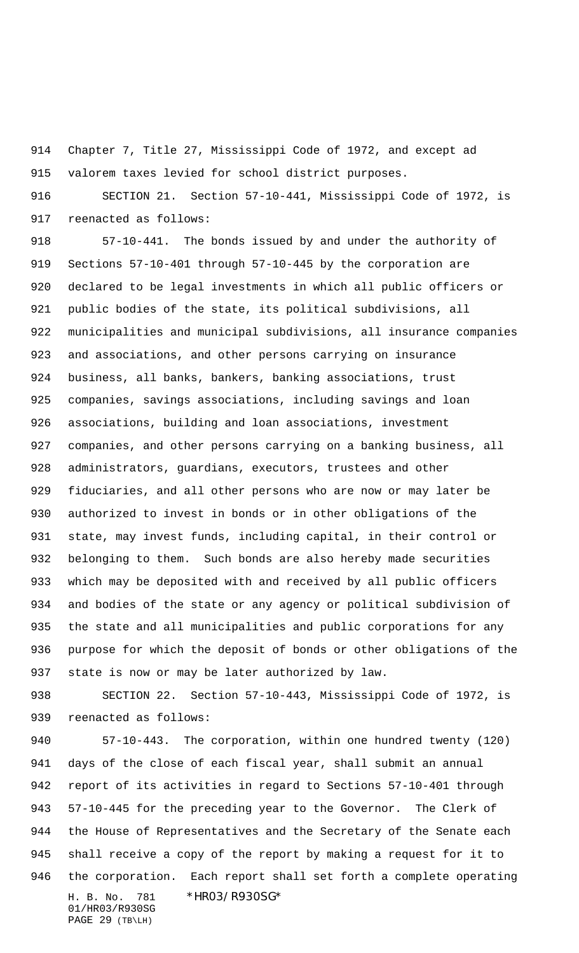Chapter 7, Title 27, Mississippi Code of 1972, and except ad valorem taxes levied for school district purposes.

 SECTION 21. Section 57-10-441, Mississippi Code of 1972, is reenacted as follows:

 57-10-441. The bonds issued by and under the authority of Sections 57-10-401 through 57-10-445 by the corporation are declared to be legal investments in which all public officers or public bodies of the state, its political subdivisions, all municipalities and municipal subdivisions, all insurance companies and associations, and other persons carrying on insurance business, all banks, bankers, banking associations, trust companies, savings associations, including savings and loan associations, building and loan associations, investment companies, and other persons carrying on a banking business, all administrators, guardians, executors, trustees and other fiduciaries, and all other persons who are now or may later be authorized to invest in bonds or in other obligations of the state, may invest funds, including capital, in their control or belonging to them. Such bonds are also hereby made securities which may be deposited with and received by all public officers and bodies of the state or any agency or political subdivision of the state and all municipalities and public corporations for any purpose for which the deposit of bonds or other obligations of the state is now or may be later authorized by law.

 SECTION 22. Section 57-10-443, Mississippi Code of 1972, is reenacted as follows:

H. B. No. 781 \*HR03/R930SG\* 57-10-443. The corporation, within one hundred twenty (120) days of the close of each fiscal year, shall submit an annual report of its activities in regard to Sections 57-10-401 through 57-10-445 for the preceding year to the Governor. The Clerk of the House of Representatives and the Secretary of the Senate each shall receive a copy of the report by making a request for it to the corporation. Each report shall set forth a complete operating

01/HR03/R930SG PAGE 29 (TB\LH)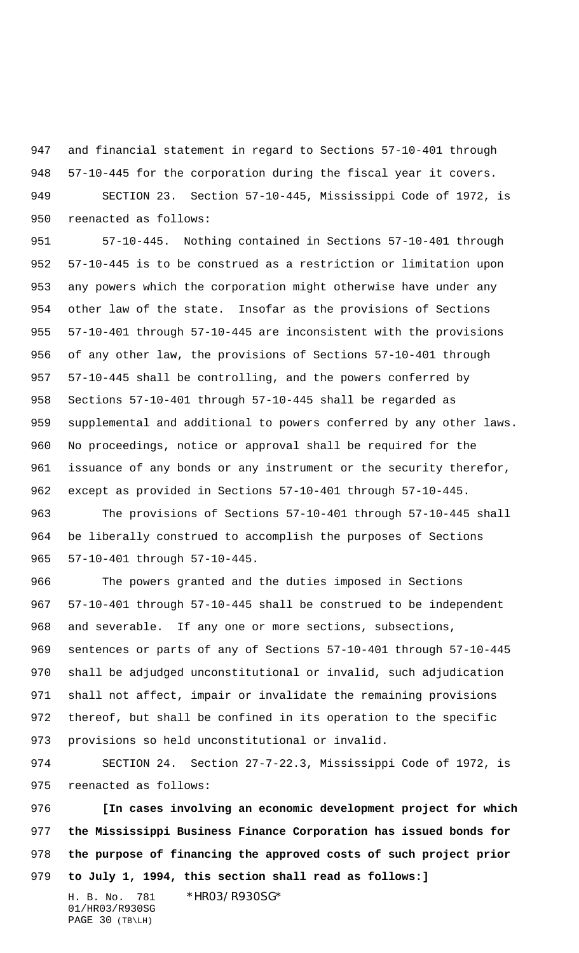and financial statement in regard to Sections 57-10-401 through 57-10-445 for the corporation during the fiscal year it covers. SECTION 23. Section 57-10-445, Mississippi Code of 1972, is reenacted as follows:

 57-10-445. Nothing contained in Sections 57-10-401 through 57-10-445 is to be construed as a restriction or limitation upon any powers which the corporation might otherwise have under any other law of the state. Insofar as the provisions of Sections 57-10-401 through 57-10-445 are inconsistent with the provisions of any other law, the provisions of Sections 57-10-401 through 57-10-445 shall be controlling, and the powers conferred by Sections 57-10-401 through 57-10-445 shall be regarded as supplemental and additional to powers conferred by any other laws. No proceedings, notice or approval shall be required for the issuance of any bonds or any instrument or the security therefor, except as provided in Sections 57-10-401 through 57-10-445.

 The provisions of Sections 57-10-401 through 57-10-445 shall be liberally construed to accomplish the purposes of Sections 57-10-401 through 57-10-445.

 The powers granted and the duties imposed in Sections 57-10-401 through 57-10-445 shall be construed to be independent and severable. If any one or more sections, subsections, sentences or parts of any of Sections 57-10-401 through 57-10-445 shall be adjudged unconstitutional or invalid, such adjudication shall not affect, impair or invalidate the remaining provisions thereof, but shall be confined in its operation to the specific provisions so held unconstitutional or invalid.

 SECTION 24. Section 27-7-22.3, Mississippi Code of 1972, is reenacted as follows:

 **[In cases involving an economic development project for which the Mississippi Business Finance Corporation has issued bonds for the purpose of financing the approved costs of such project prior to July 1, 1994, this section shall read as follows:]**

01/HR03/R930SG PAGE 30 (TB\LH)

H. B. No. 781 \*HR03/R930SG\*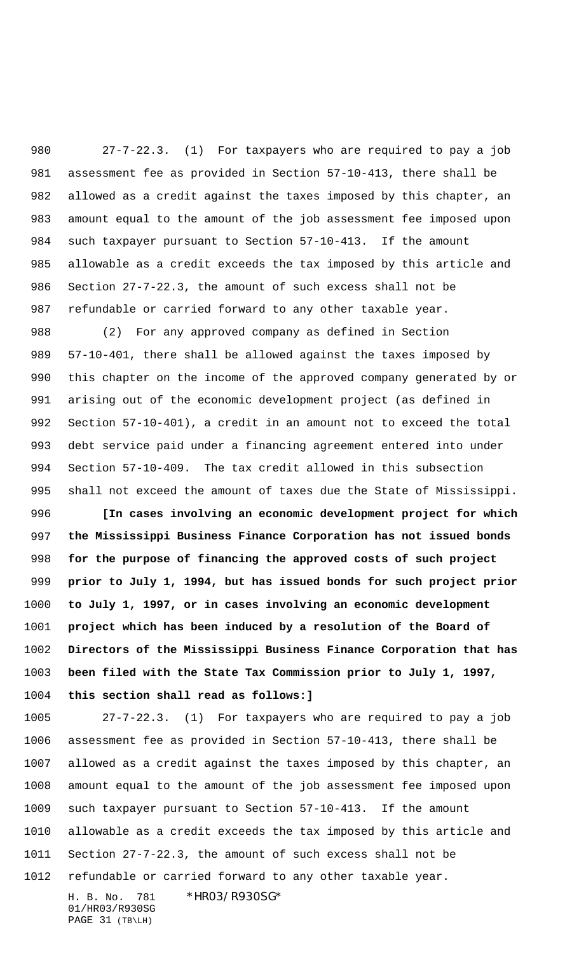27-7-22.3. (1) For taxpayers who are required to pay a job assessment fee as provided in Section 57-10-413, there shall be allowed as a credit against the taxes imposed by this chapter, an amount equal to the amount of the job assessment fee imposed upon such taxpayer pursuant to Section 57-10-413. If the amount allowable as a credit exceeds the tax imposed by this article and Section 27-7-22.3, the amount of such excess shall not be refundable or carried forward to any other taxable year.

 (2) For any approved company as defined in Section 57-10-401, there shall be allowed against the taxes imposed by this chapter on the income of the approved company generated by or arising out of the economic development project (as defined in Section 57-10-401), a credit in an amount not to exceed the total debt service paid under a financing agreement entered into under Section 57-10-409. The tax credit allowed in this subsection shall not exceed the amount of taxes due the State of Mississippi.

 **[In cases involving an economic development project for which the Mississippi Business Finance Corporation has not issued bonds for the purpose of financing the approved costs of such project prior to July 1, 1994, but has issued bonds for such project prior to July 1, 1997, or in cases involving an economic development project which has been induced by a resolution of the Board of Directors of the Mississippi Business Finance Corporation that has been filed with the State Tax Commission prior to July 1, 1997, this section shall read as follows:]**

 27-7-22.3. (1) For taxpayers who are required to pay a job assessment fee as provided in Section 57-10-413, there shall be allowed as a credit against the taxes imposed by this chapter, an amount equal to the amount of the job assessment fee imposed upon such taxpayer pursuant to Section 57-10-413. If the amount allowable as a credit exceeds the tax imposed by this article and Section 27-7-22.3, the amount of such excess shall not be refundable or carried forward to any other taxable year.

01/HR03/R930SG PAGE 31 (TB\LH)

H. B. No. 781 \*HR03/R930SG\*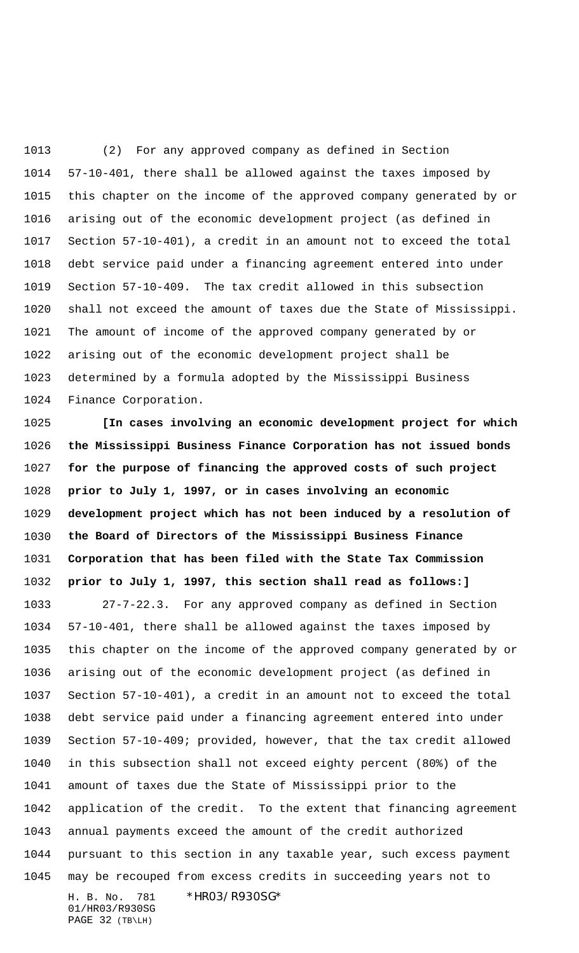(2) For any approved company as defined in Section 57-10-401, there shall be allowed against the taxes imposed by this chapter on the income of the approved company generated by or arising out of the economic development project (as defined in Section 57-10-401), a credit in an amount not to exceed the total debt service paid under a financing agreement entered into under Section 57-10-409. The tax credit allowed in this subsection shall not exceed the amount of taxes due the State of Mississippi. The amount of income of the approved company generated by or arising out of the economic development project shall be determined by a formula adopted by the Mississippi Business Finance Corporation.

 **[In cases involving an economic development project for which the Mississippi Business Finance Corporation has not issued bonds for the purpose of financing the approved costs of such project prior to July 1, 1997, or in cases involving an economic development project which has not been induced by a resolution of the Board of Directors of the Mississippi Business Finance Corporation that has been filed with the State Tax Commission prior to July 1, 1997, this section shall read as follows:]**

H. B. No. 781 \*HR03/R930SG\* 01/HR03/R930SG 27-7-22.3. For any approved company as defined in Section 57-10-401, there shall be allowed against the taxes imposed by this chapter on the income of the approved company generated by or arising out of the economic development project (as defined in Section 57-10-401), a credit in an amount not to exceed the total debt service paid under a financing agreement entered into under Section 57-10-409; provided, however, that the tax credit allowed in this subsection shall not exceed eighty percent (80%) of the amount of taxes due the State of Mississippi prior to the application of the credit. To the extent that financing agreement annual payments exceed the amount of the credit authorized pursuant to this section in any taxable year, such excess payment may be recouped from excess credits in succeeding years not to

PAGE 32 (TB\LH)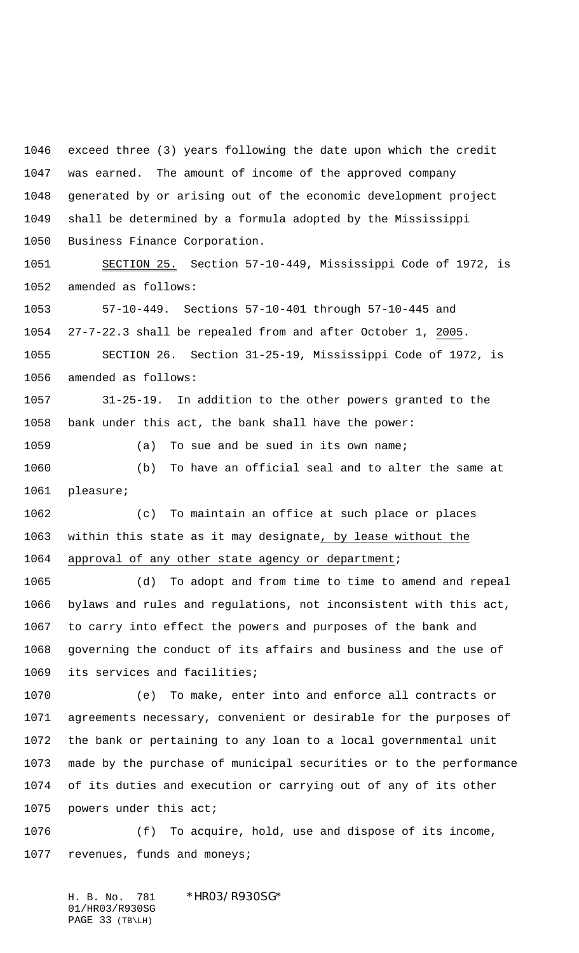exceed three (3) years following the date upon which the credit was earned. The amount of income of the approved company generated by or arising out of the economic development project shall be determined by a formula adopted by the Mississippi Business Finance Corporation.

 SECTION 25. Section 57-10-449, Mississippi Code of 1972, is amended as follows:

 57-10-449. Sections 57-10-401 through 57-10-445 and 27-7-22.3 shall be repealed from and after October 1, 2005. SECTION 26. Section 31-25-19, Mississippi Code of 1972, is

amended as follows:

 31-25-19. In addition to the other powers granted to the bank under this act, the bank shall have the power:

1059 (a) To sue and be sued in its own name;

 (b) To have an official seal and to alter the same at pleasure;

 (c) To maintain an office at such place or places within this state as it may designate, by lease without the 1064 approval of any other state agency or department;

 (d) To adopt and from time to time to amend and repeal bylaws and rules and regulations, not inconsistent with this act, to carry into effect the powers and purposes of the bank and governing the conduct of its affairs and business and the use of its services and facilities;

 (e) To make, enter into and enforce all contracts or agreements necessary, convenient or desirable for the purposes of the bank or pertaining to any loan to a local governmental unit made by the purchase of municipal securities or to the performance of its duties and execution or carrying out of any of its other powers under this act;

 (f) To acquire, hold, use and dispose of its income, 1077 revenues, funds and moneys;

H. B. No. 781 \*HR03/R930SG\* 01/HR03/R930SG PAGE 33 (TB\LH)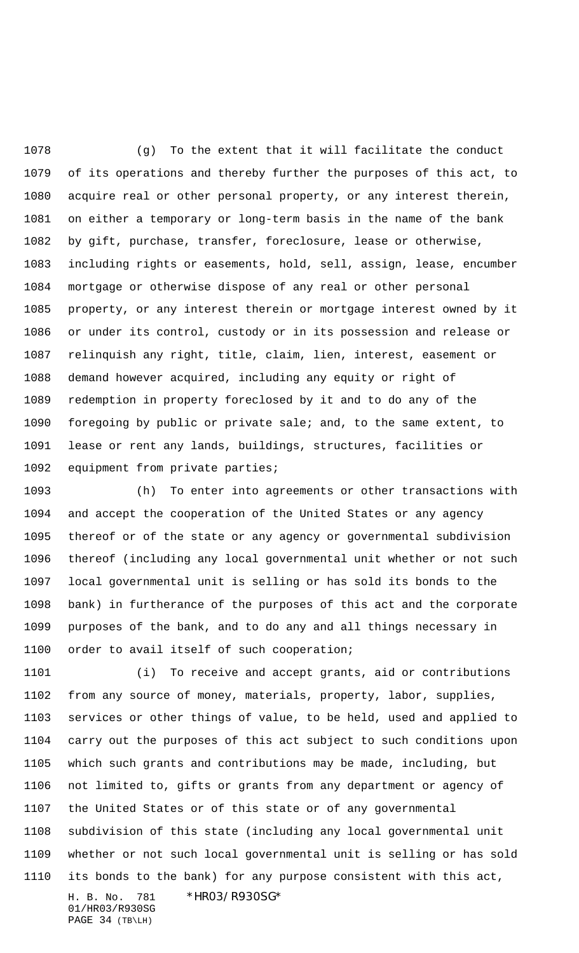(g) To the extent that it will facilitate the conduct of its operations and thereby further the purposes of this act, to acquire real or other personal property, or any interest therein, on either a temporary or long-term basis in the name of the bank by gift, purchase, transfer, foreclosure, lease or otherwise, including rights or easements, hold, sell, assign, lease, encumber mortgage or otherwise dispose of any real or other personal property, or any interest therein or mortgage interest owned by it or under its control, custody or in its possession and release or relinquish any right, title, claim, lien, interest, easement or demand however acquired, including any equity or right of redemption in property foreclosed by it and to do any of the foregoing by public or private sale; and, to the same extent, to lease or rent any lands, buildings, structures, facilities or equipment from private parties;

 (h) To enter into agreements or other transactions with and accept the cooperation of the United States or any agency thereof or of the state or any agency or governmental subdivision thereof (including any local governmental unit whether or not such local governmental unit is selling or has sold its bonds to the bank) in furtherance of the purposes of this act and the corporate purposes of the bank, and to do any and all things necessary in order to avail itself of such cooperation;

H. B. No. 781 \*HR03/R930SG\* (i) To receive and accept grants, aid or contributions from any source of money, materials, property, labor, supplies, services or other things of value, to be held, used and applied to carry out the purposes of this act subject to such conditions upon which such grants and contributions may be made, including, but not limited to, gifts or grants from any department or agency of the United States or of this state or of any governmental subdivision of this state (including any local governmental unit whether or not such local governmental unit is selling or has sold its bonds to the bank) for any purpose consistent with this act,

01/HR03/R930SG PAGE 34 (TB\LH)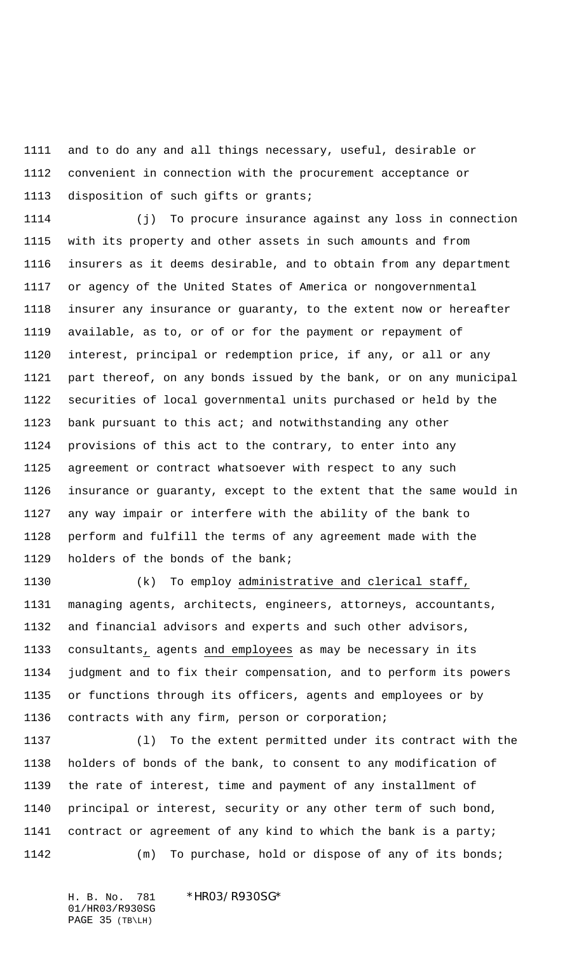and to do any and all things necessary, useful, desirable or convenient in connection with the procurement acceptance or disposition of such gifts or grants;

 (j) To procure insurance against any loss in connection with its property and other assets in such amounts and from insurers as it deems desirable, and to obtain from any department or agency of the United States of America or nongovernmental insurer any insurance or guaranty, to the extent now or hereafter available, as to, or of or for the payment or repayment of interest, principal or redemption price, if any, or all or any part thereof, on any bonds issued by the bank, or on any municipal securities of local governmental units purchased or held by the bank pursuant to this act; and notwithstanding any other provisions of this act to the contrary, to enter into any agreement or contract whatsoever with respect to any such insurance or guaranty, except to the extent that the same would in any way impair or interfere with the ability of the bank to perform and fulfill the terms of any agreement made with the holders of the bonds of the bank;

 (k) To employ administrative and clerical staff, managing agents, architects, engineers, attorneys, accountants, and financial advisors and experts and such other advisors, consultants, agents and employees as may be necessary in its judgment and to fix their compensation, and to perform its powers or functions through its officers, agents and employees or by contracts with any firm, person or corporation;

 (l) To the extent permitted under its contract with the holders of bonds of the bank, to consent to any modification of the rate of interest, time and payment of any installment of principal or interest, security or any other term of such bond, contract or agreement of any kind to which the bank is a party; (m) To purchase, hold or dispose of any of its bonds;

01/HR03/R930SG PAGE 35 (TB\LH)

H. B. No. 781 \*HR03/R930SG\*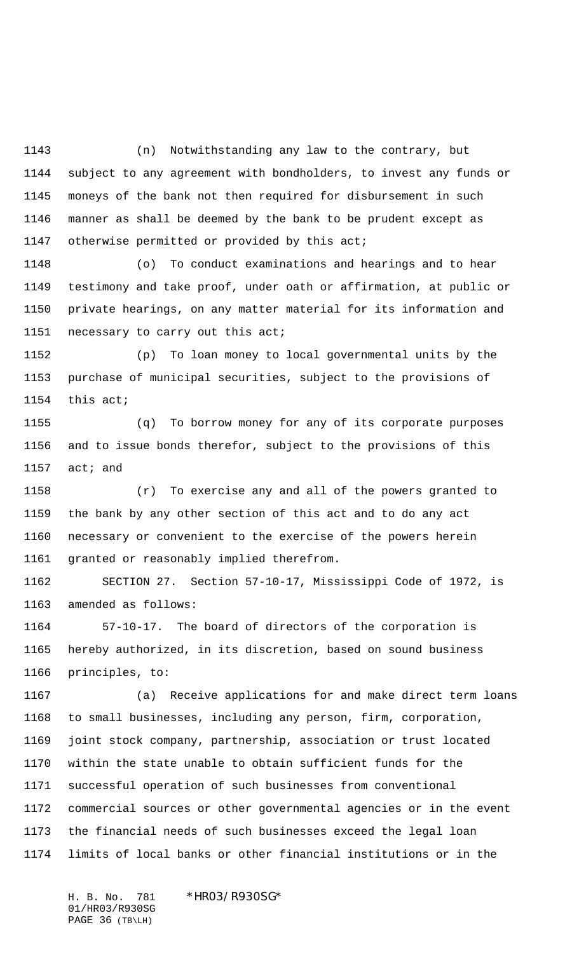(n) Notwithstanding any law to the contrary, but subject to any agreement with bondholders, to invest any funds or moneys of the bank not then required for disbursement in such manner as shall be deemed by the bank to be prudent except as 1147 otherwise permitted or provided by this act;

 (o) To conduct examinations and hearings and to hear testimony and take proof, under oath or affirmation, at public or private hearings, on any matter material for its information and necessary to carry out this act;

 (p) To loan money to local governmental units by the purchase of municipal securities, subject to the provisions of this act;

 (q) To borrow money for any of its corporate purposes and to issue bonds therefor, subject to the provisions of this act; and

 (r) To exercise any and all of the powers granted to the bank by any other section of this act and to do any act necessary or convenient to the exercise of the powers herein granted or reasonably implied therefrom.

 SECTION 27. Section 57-10-17, Mississippi Code of 1972, is amended as follows:

 57-10-17. The board of directors of the corporation is hereby authorized, in its discretion, based on sound business principles, to:

 (a) Receive applications for and make direct term loans to small businesses, including any person, firm, corporation, joint stock company, partnership, association or trust located within the state unable to obtain sufficient funds for the successful operation of such businesses from conventional commercial sources or other governmental agencies or in the event the financial needs of such businesses exceed the legal loan limits of local banks or other financial institutions or in the

H. B. No. 781 \*HR03/R930SG\* 01/HR03/R930SG PAGE 36 (TB\LH)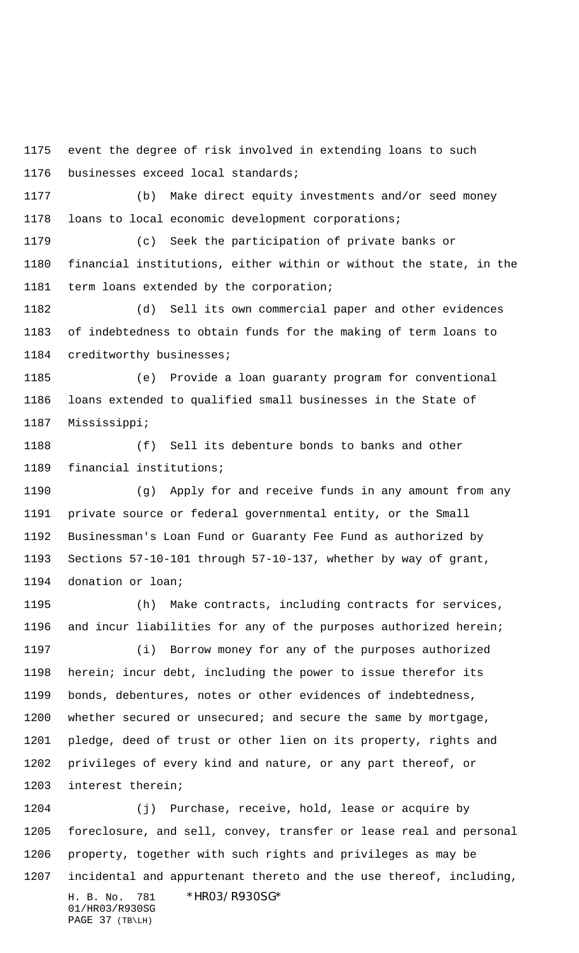event the degree of risk involved in extending loans to such businesses exceed local standards;

 (b) Make direct equity investments and/or seed money loans to local economic development corporations;

 (c) Seek the participation of private banks or financial institutions, either within or without the state, in the term loans extended by the corporation;

 (d) Sell its own commercial paper and other evidences of indebtedness to obtain funds for the making of term loans to creditworthy businesses;

 (e) Provide a loan guaranty program for conventional loans extended to qualified small businesses in the State of Mississippi;

 (f) Sell its debenture bonds to banks and other financial institutions;

 (g) Apply for and receive funds in any amount from any private source or federal governmental entity, or the Small Businessman's Loan Fund or Guaranty Fee Fund as authorized by Sections 57-10-101 through 57-10-137, whether by way of grant, donation or loan;

 (h) Make contracts, including contracts for services, and incur liabilities for any of the purposes authorized herein;

 (i) Borrow money for any of the purposes authorized herein; incur debt, including the power to issue therefor its bonds, debentures, notes or other evidences of indebtedness, 1200 whether secured or unsecured; and secure the same by mortgage, pledge, deed of trust or other lien on its property, rights and privileges of every kind and nature, or any part thereof, or interest therein;

H. B. No. 781 \*HR03/R930SG\* (j) Purchase, receive, hold, lease or acquire by foreclosure, and sell, convey, transfer or lease real and personal property, together with such rights and privileges as may be incidental and appurtenant thereto and the use thereof, including,

01/HR03/R930SG PAGE 37 (TB\LH)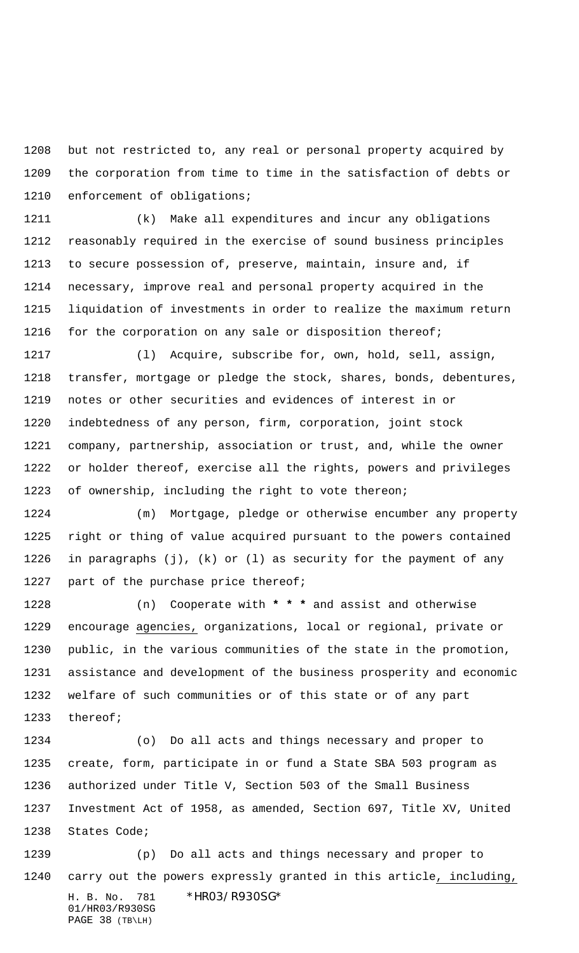but not restricted to, any real or personal property acquired by the corporation from time to time in the satisfaction of debts or enforcement of obligations;

 (k) Make all expenditures and incur any obligations reasonably required in the exercise of sound business principles to secure possession of, preserve, maintain, insure and, if necessary, improve real and personal property acquired in the liquidation of investments in order to realize the maximum return 1216 for the corporation on any sale or disposition thereof;

 (l) Acquire, subscribe for, own, hold, sell, assign, transfer, mortgage or pledge the stock, shares, bonds, debentures, notes or other securities and evidences of interest in or indebtedness of any person, firm, corporation, joint stock company, partnership, association or trust, and, while the owner or holder thereof, exercise all the rights, powers and privileges of ownership, including the right to vote thereon;

 (m) Mortgage, pledge or otherwise encumber any property right or thing of value acquired pursuant to the powers contained in paragraphs (j), (k) or (l) as security for the payment of any 1227 part of the purchase price thereof;

 (n) Cooperate with **\* \* \*** and assist and otherwise encourage agencies, organizations, local or regional, private or public, in the various communities of the state in the promotion, assistance and development of the business prosperity and economic welfare of such communities or of this state or of any part thereof;

 (o) Do all acts and things necessary and proper to create, form, participate in or fund a State SBA 503 program as authorized under Title V, Section 503 of the Small Business Investment Act of 1958, as amended, Section 697, Title XV, United States Code;

H. B. No. 781 \*HR03/R930SG\* 01/HR03/R930SG PAGE 38 (TB\LH) (p) Do all acts and things necessary and proper to carry out the powers expressly granted in this article, including,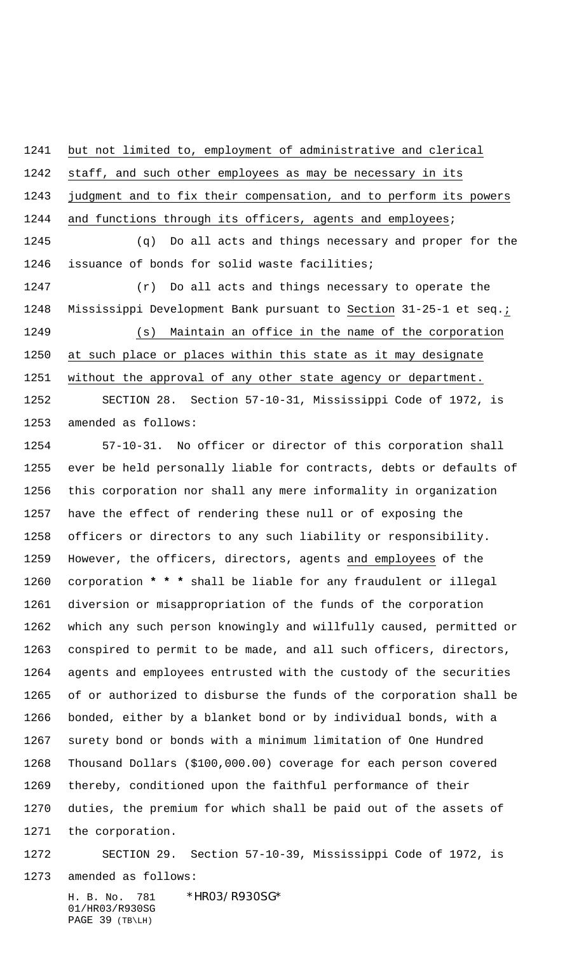but not limited to, employment of administrative and clerical

 staff, and such other employees as may be necessary in its judgment and to fix their compensation, and to perform its powers

1244 and functions through its officers, agents and employees;

 (q) Do all acts and things necessary and proper for the issuance of bonds for solid waste facilities;

 (r) Do all acts and things necessary to operate the Mississippi Development Bank pursuant to Section 31-25-1 et seq.; (s) Maintain an office in the name of the corporation at such place or places within this state as it may designate 1251 without the approval of any other state agency or department.

 SECTION 28. Section 57-10-31, Mississippi Code of 1972, is amended as follows:

 57-10-31. No officer or director of this corporation shall ever be held personally liable for contracts, debts or defaults of this corporation nor shall any mere informality in organization have the effect of rendering these null or of exposing the officers or directors to any such liability or responsibility. However, the officers, directors, agents and employees of the corporation **\* \* \*** shall be liable for any fraudulent or illegal diversion or misappropriation of the funds of the corporation which any such person knowingly and willfully caused, permitted or conspired to permit to be made, and all such officers, directors, agents and employees entrusted with the custody of the securities of or authorized to disburse the funds of the corporation shall be bonded, either by a blanket bond or by individual bonds, with a surety bond or bonds with a minimum limitation of One Hundred Thousand Dollars (\$100,000.00) coverage for each person covered thereby, conditioned upon the faithful performance of their duties, the premium for which shall be paid out of the assets of the corporation.

 SECTION 29. Section 57-10-39, Mississippi Code of 1972, is amended as follows:

H. B. No. 781 \*HR03/R930SG\* 01/HR03/R930SG PAGE 39 (TB\LH)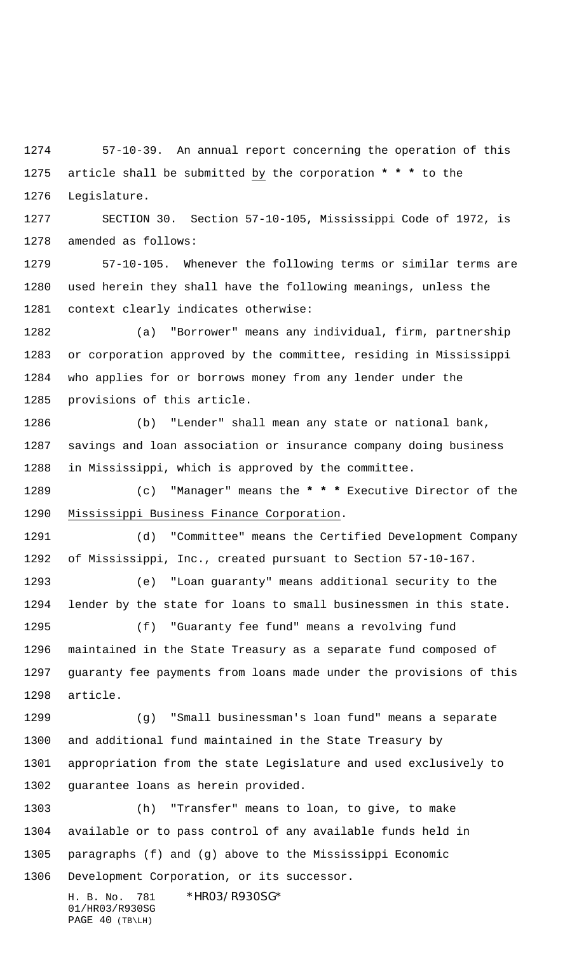57-10-39. An annual report concerning the operation of this article shall be submitted by the corporation **\* \* \*** to the Legislature.

 SECTION 30. Section 57-10-105, Mississippi Code of 1972, is amended as follows:

 57-10-105. Whenever the following terms or similar terms are used herein they shall have the following meanings, unless the context clearly indicates otherwise:

 (a) "Borrower" means any individual, firm, partnership or corporation approved by the committee, residing in Mississippi who applies for or borrows money from any lender under the provisions of this article.

 (b) "Lender" shall mean any state or national bank, savings and loan association or insurance company doing business in Mississippi, which is approved by the committee.

 (c) "Manager" means the **\* \* \*** Executive Director of the Mississippi Business Finance Corporation.

 (d) "Committee" means the Certified Development Company of Mississippi, Inc., created pursuant to Section 57-10-167.

 (e) "Loan guaranty" means additional security to the lender by the state for loans to small businessmen in this state.

 (f) "Guaranty fee fund" means a revolving fund maintained in the State Treasury as a separate fund composed of guaranty fee payments from loans made under the provisions of this article.

 (g) "Small businessman's loan fund" means a separate and additional fund maintained in the State Treasury by appropriation from the state Legislature and used exclusively to guarantee loans as herein provided.

 (h) "Transfer" means to loan, to give, to make available or to pass control of any available funds held in paragraphs (f) and (g) above to the Mississippi Economic Development Corporation, or its successor.

H. B. No. 781 \*HR03/R930SG\* 01/HR03/R930SG PAGE 40 (TB\LH)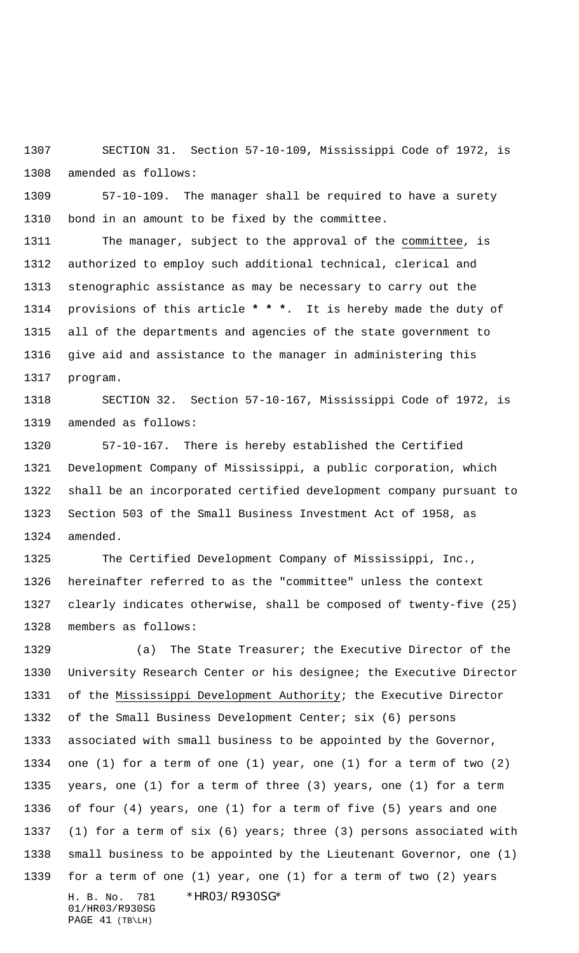SECTION 31. Section 57-10-109, Mississippi Code of 1972, is amended as follows:

 57-10-109. The manager shall be required to have a surety bond in an amount to be fixed by the committee.

 The manager, subject to the approval of the committee, is authorized to employ such additional technical, clerical and stenographic assistance as may be necessary to carry out the provisions of this article **\* \* \***. It is hereby made the duty of all of the departments and agencies of the state government to give aid and assistance to the manager in administering this program.

 SECTION 32. Section 57-10-167, Mississippi Code of 1972, is amended as follows:

 57-10-167. There is hereby established the Certified Development Company of Mississippi, a public corporation, which shall be an incorporated certified development company pursuant to Section 503 of the Small Business Investment Act of 1958, as amended.

 The Certified Development Company of Mississippi, Inc., hereinafter referred to as the "committee" unless the context clearly indicates otherwise, shall be composed of twenty-five (25) members as follows:

H. B. No. 781 \*HR03/R930SG\* 01/HR03/R930SG (a) The State Treasurer; the Executive Director of the University Research Center or his designee; the Executive Director 1331 of the Mississippi Development Authority; the Executive Director 1332 of the Small Business Development Center; six (6) persons associated with small business to be appointed by the Governor, one (1) for a term of one (1) year, one (1) for a term of two (2) years, one (1) for a term of three (3) years, one (1) for a term of four (4) years, one (1) for a term of five (5) years and one (1) for a term of six (6) years; three (3) persons associated with small business to be appointed by the Lieutenant Governor, one (1) for a term of one (1) year, one (1) for a term of two (2) years

PAGE 41 (TB\LH)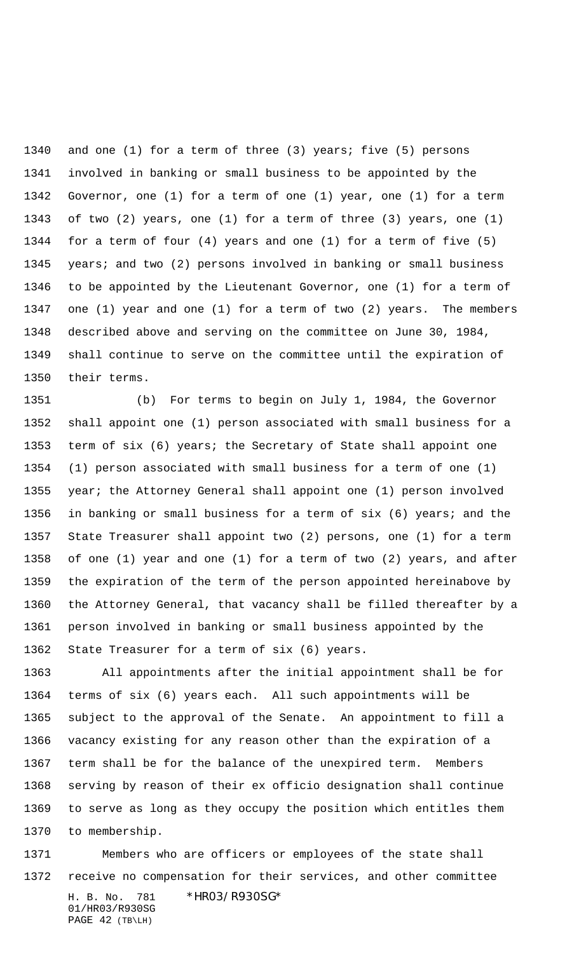and one (1) for a term of three (3) years; five (5) persons involved in banking or small business to be appointed by the Governor, one (1) for a term of one (1) year, one (1) for a term of two (2) years, one (1) for a term of three (3) years, one (1) for a term of four (4) years and one (1) for a term of five (5) years; and two (2) persons involved in banking or small business to be appointed by the Lieutenant Governor, one (1) for a term of one (1) year and one (1) for a term of two (2) years. The members described above and serving on the committee on June 30, 1984, shall continue to serve on the committee until the expiration of their terms.

 (b) For terms to begin on July 1, 1984, the Governor shall appoint one (1) person associated with small business for a term of six (6) years; the Secretary of State shall appoint one (1) person associated with small business for a term of one (1) year; the Attorney General shall appoint one (1) person involved in banking or small business for a term of six (6) years; and the State Treasurer shall appoint two (2) persons, one (1) for a term of one (1) year and one (1) for a term of two (2) years, and after the expiration of the term of the person appointed hereinabove by the Attorney General, that vacancy shall be filled thereafter by a person involved in banking or small business appointed by the State Treasurer for a term of six (6) years.

 All appointments after the initial appointment shall be for terms of six (6) years each. All such appointments will be subject to the approval of the Senate. An appointment to fill a vacancy existing for any reason other than the expiration of a term shall be for the balance of the unexpired term. Members serving by reason of their ex officio designation shall continue to serve as long as they occupy the position which entitles them to membership.

H. B. No. 781 \*HR03/R930SG\* 01/HR03/R930SG Members who are officers or employees of the state shall receive no compensation for their services, and other committee

PAGE 42 (TB\LH)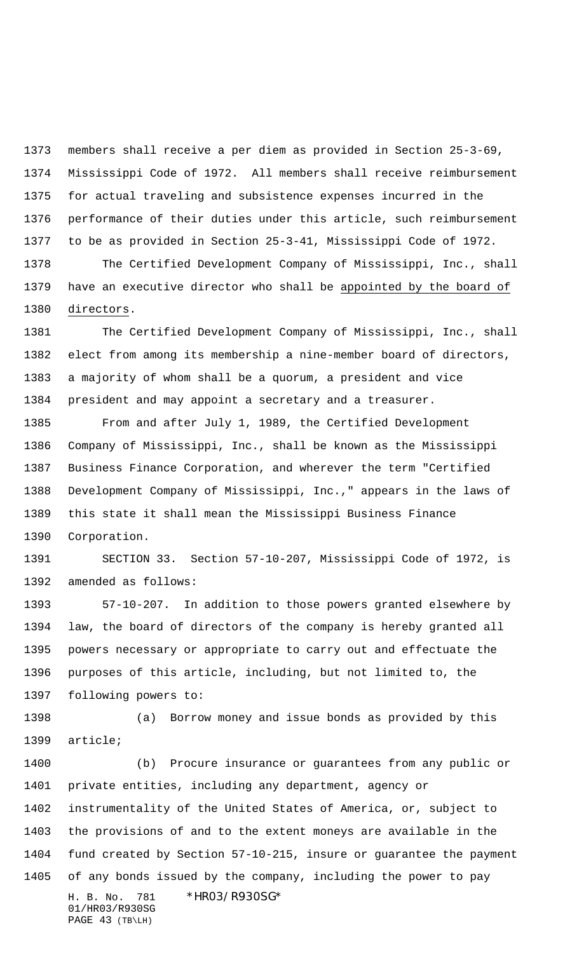members shall receive a per diem as provided in Section 25-3-69, Mississippi Code of 1972. All members shall receive reimbursement for actual traveling and subsistence expenses incurred in the performance of their duties under this article, such reimbursement to be as provided in Section 25-3-41, Mississippi Code of 1972. The Certified Development Company of Mississippi, Inc., shall have an executive director who shall be appointed by the board of

directors.

 The Certified Development Company of Mississippi, Inc., shall elect from among its membership a nine-member board of directors, a majority of whom shall be a quorum, a president and vice president and may appoint a secretary and a treasurer.

 From and after July 1, 1989, the Certified Development Company of Mississippi, Inc., shall be known as the Mississippi Business Finance Corporation, and wherever the term "Certified Development Company of Mississippi, Inc.," appears in the laws of this state it shall mean the Mississippi Business Finance Corporation.

 SECTION 33. Section 57-10-207, Mississippi Code of 1972, is amended as follows:

 57-10-207. In addition to those powers granted elsewhere by law, the board of directors of the company is hereby granted all powers necessary or appropriate to carry out and effectuate the purposes of this article, including, but not limited to, the following powers to:

 (a) Borrow money and issue bonds as provided by this article;

H. B. No. 781 \*HR03/R930SG\* 01/HR03/R930SG PAGE 43 (TB\LH) (b) Procure insurance or guarantees from any public or private entities, including any department, agency or instrumentality of the United States of America, or, subject to the provisions of and to the extent moneys are available in the fund created by Section 57-10-215, insure or guarantee the payment of any bonds issued by the company, including the power to pay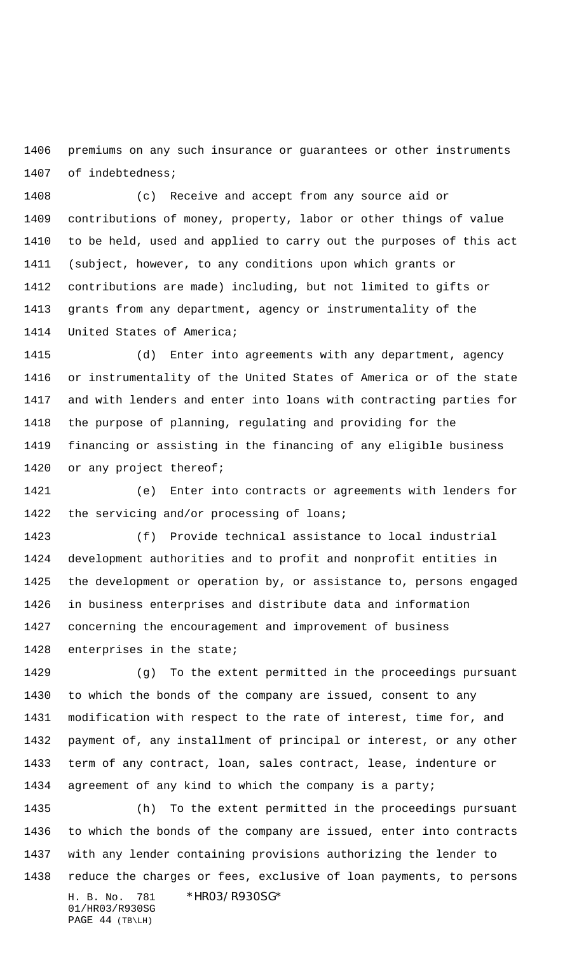premiums on any such insurance or guarantees or other instruments of indebtedness;

 (c) Receive and accept from any source aid or contributions of money, property, labor or other things of value to be held, used and applied to carry out the purposes of this act (subject, however, to any conditions upon which grants or contributions are made) including, but not limited to gifts or grants from any department, agency or instrumentality of the United States of America;

 (d) Enter into agreements with any department, agency or instrumentality of the United States of America or of the state and with lenders and enter into loans with contracting parties for the purpose of planning, regulating and providing for the financing or assisting in the financing of any eligible business 1420 or any project thereof;

 (e) Enter into contracts or agreements with lenders for 1422 the servicing and/or processing of loans;

 (f) Provide technical assistance to local industrial development authorities and to profit and nonprofit entities in the development or operation by, or assistance to, persons engaged in business enterprises and distribute data and information concerning the encouragement and improvement of business enterprises in the state;

 (g) To the extent permitted in the proceedings pursuant to which the bonds of the company are issued, consent to any modification with respect to the rate of interest, time for, and payment of, any installment of principal or interest, or any other term of any contract, loan, sales contract, lease, indenture or agreement of any kind to which the company is a party;

H. B. No. 781 \*HR03/R930SG\* 01/HR03/R930SG (h) To the extent permitted in the proceedings pursuant to which the bonds of the company are issued, enter into contracts with any lender containing provisions authorizing the lender to reduce the charges or fees, exclusive of loan payments, to persons

PAGE 44 (TB\LH)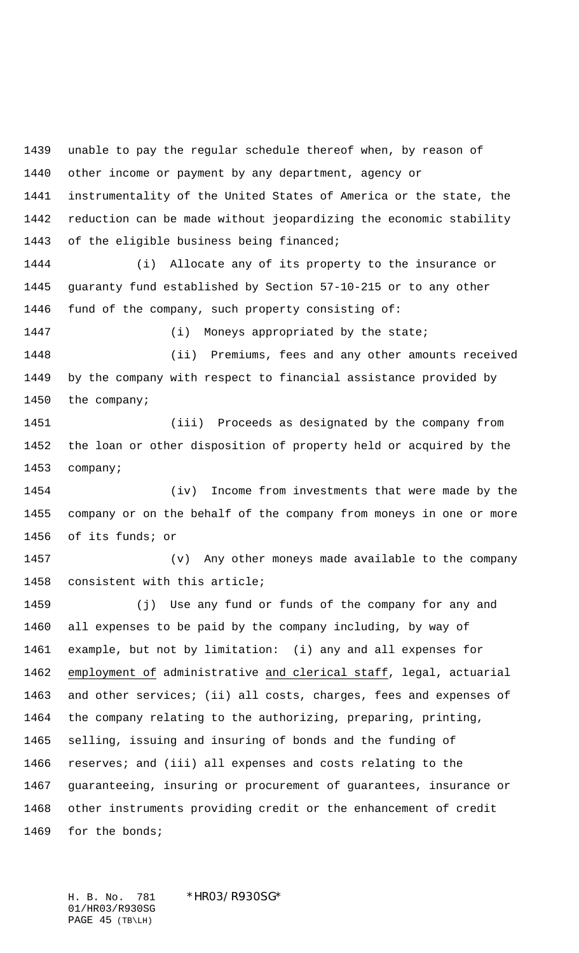unable to pay the regular schedule thereof when, by reason of other income or payment by any department, agency or instrumentality of the United States of America or the state, the reduction can be made without jeopardizing the economic stability of the eligible business being financed; (i) Allocate any of its property to the insurance or guaranty fund established by Section 57-10-215 or to any other fund of the company, such property consisting of: 1447 (i) Moneys appropriated by the state; (ii) Premiums, fees and any other amounts received by the company with respect to financial assistance provided by the company; (iii) Proceeds as designated by the company from the loan or other disposition of property held or acquired by the company; (iv) Income from investments that were made by the company or on the behalf of the company from moneys in one or more of its funds; or (v) Any other moneys made available to the company consistent with this article; (j) Use any fund or funds of the company for any and all expenses to be paid by the company including, by way of example, but not by limitation: (i) any and all expenses for employment of administrative and clerical staff, legal, actuarial and other services; (ii) all costs, charges, fees and expenses of the company relating to the authorizing, preparing, printing, selling, issuing and insuring of bonds and the funding of reserves; and (iii) all expenses and costs relating to the guaranteeing, insuring or procurement of guarantees, insurance or other instruments providing credit or the enhancement of credit 1469 for the bonds;

H. B. No. 781 \*HR03/R930SG\* 01/HR03/R930SG PAGE 45 (TB\LH)